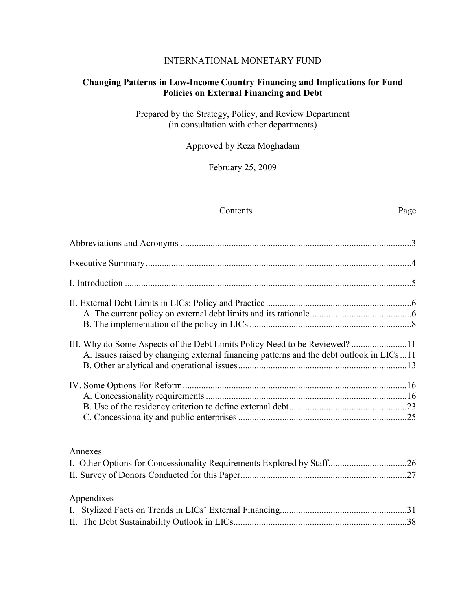#### INTERNATIONAL MONETARY FUND

#### **Changing Patterns in Low-Income Country Financing and Implications for Fund Policies on External Financing and Debt**

Prepared by the Strategy, Policy, and Review Department (in consultation with other departments)

Approved by Reza Moghadam

February 25, 2009

#### Contents Page

| A. Issues raised by changing external financing patterns and the debt outlook in LICs 11 |  |
|------------------------------------------------------------------------------------------|--|
|                                                                                          |  |
| Annexes                                                                                  |  |
| $\Lambda$ properties of                                                                  |  |

#### Appendixes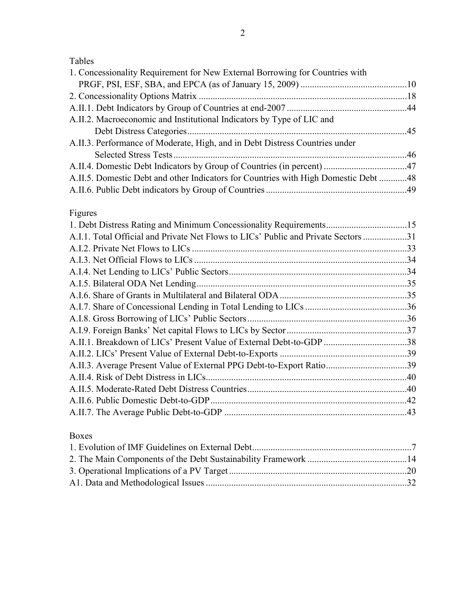# Tables

| A.II.2. Macroeconomic and Institutional Indicators by Type of LIC and<br>A.II.3. Performance of Moderate, High, and in Debt Distress Countries under<br>A.II.4. Domestic Debt Indicators by Group of Countries (in percent) 47<br>A.II.5. Domestic Debt and other Indicators for Countries with High Domestic Debt 48<br>Figures<br>A.I.1. Total Official and Private Net Flows to LICs' Public and Private Sectors 31<br>A.II.1. Breakdown of LICs' Present Value of External Debt-to-GDP 38<br>A.II.3. Average Present Value of External PPG Debt-to-Export Ratio39 | 1. Concessionality Requirement for New External Borrowing for Countries with |  |
|-----------------------------------------------------------------------------------------------------------------------------------------------------------------------------------------------------------------------------------------------------------------------------------------------------------------------------------------------------------------------------------------------------------------------------------------------------------------------------------------------------------------------------------------------------------------------|------------------------------------------------------------------------------|--|
|                                                                                                                                                                                                                                                                                                                                                                                                                                                                                                                                                                       |                                                                              |  |
|                                                                                                                                                                                                                                                                                                                                                                                                                                                                                                                                                                       |                                                                              |  |
|                                                                                                                                                                                                                                                                                                                                                                                                                                                                                                                                                                       |                                                                              |  |
|                                                                                                                                                                                                                                                                                                                                                                                                                                                                                                                                                                       |                                                                              |  |
|                                                                                                                                                                                                                                                                                                                                                                                                                                                                                                                                                                       |                                                                              |  |
|                                                                                                                                                                                                                                                                                                                                                                                                                                                                                                                                                                       |                                                                              |  |
|                                                                                                                                                                                                                                                                                                                                                                                                                                                                                                                                                                       |                                                                              |  |
|                                                                                                                                                                                                                                                                                                                                                                                                                                                                                                                                                                       |                                                                              |  |
|                                                                                                                                                                                                                                                                                                                                                                                                                                                                                                                                                                       |                                                                              |  |
|                                                                                                                                                                                                                                                                                                                                                                                                                                                                                                                                                                       |                                                                              |  |
|                                                                                                                                                                                                                                                                                                                                                                                                                                                                                                                                                                       |                                                                              |  |
|                                                                                                                                                                                                                                                                                                                                                                                                                                                                                                                                                                       |                                                                              |  |
|                                                                                                                                                                                                                                                                                                                                                                                                                                                                                                                                                                       |                                                                              |  |
|                                                                                                                                                                                                                                                                                                                                                                                                                                                                                                                                                                       |                                                                              |  |
|                                                                                                                                                                                                                                                                                                                                                                                                                                                                                                                                                                       |                                                                              |  |
|                                                                                                                                                                                                                                                                                                                                                                                                                                                                                                                                                                       |                                                                              |  |
|                                                                                                                                                                                                                                                                                                                                                                                                                                                                                                                                                                       |                                                                              |  |
|                                                                                                                                                                                                                                                                                                                                                                                                                                                                                                                                                                       |                                                                              |  |
|                                                                                                                                                                                                                                                                                                                                                                                                                                                                                                                                                                       |                                                                              |  |
|                                                                                                                                                                                                                                                                                                                                                                                                                                                                                                                                                                       |                                                                              |  |
|                                                                                                                                                                                                                                                                                                                                                                                                                                                                                                                                                                       |                                                                              |  |
|                                                                                                                                                                                                                                                                                                                                                                                                                                                                                                                                                                       |                                                                              |  |
|                                                                                                                                                                                                                                                                                                                                                                                                                                                                                                                                                                       |                                                                              |  |
|                                                                                                                                                                                                                                                                                                                                                                                                                                                                                                                                                                       |                                                                              |  |
|                                                                                                                                                                                                                                                                                                                                                                                                                                                                                                                                                                       |                                                                              |  |
|                                                                                                                                                                                                                                                                                                                                                                                                                                                                                                                                                                       |                                                                              |  |
|                                                                                                                                                                                                                                                                                                                                                                                                                                                                                                                                                                       |                                                                              |  |
|                                                                                                                                                                                                                                                                                                                                                                                                                                                                                                                                                                       |                                                                              |  |
|                                                                                                                                                                                                                                                                                                                                                                                                                                                                                                                                                                       |                                                                              |  |

# Boxes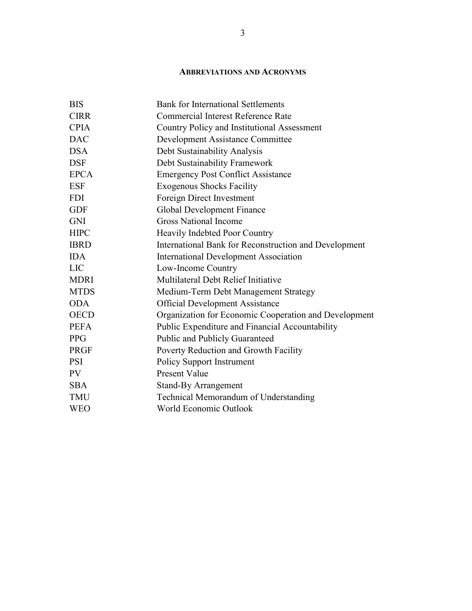#### **ABBREVIATIONS AND ACRONYMS**

| <b>BIS</b>  | <b>Bank for International Settlements</b>             |
|-------------|-------------------------------------------------------|
| <b>CIRR</b> | Commercial Interest Reference Rate                    |
| <b>CPIA</b> | Country Policy and Institutional Assessment           |
| <b>DAC</b>  | Development Assistance Committee                      |
| <b>DSA</b>  | Debt Sustainability Analysis                          |
| <b>DSF</b>  | Debt Sustainability Framework                         |
| <b>EPCA</b> | <b>Emergency Post Conflict Assistance</b>             |
| <b>ESF</b>  | <b>Exogenous Shocks Facility</b>                      |
| <b>FDI</b>  | Foreign Direct Investment                             |
| <b>GDF</b>  | Global Development Finance                            |
| <b>GNI</b>  | <b>Gross National Income</b>                          |
| <b>HIPC</b> | Heavily Indebted Poor Country                         |
| <b>IBRD</b> | International Bank for Reconstruction and Development |
| <b>IDA</b>  | <b>International Development Association</b>          |
| <b>LIC</b>  | Low-Income Country                                    |
| <b>MDRI</b> | Multilateral Debt Relief Initiative                   |
| <b>MTDS</b> | Medium-Term Debt Management Strategy                  |
| <b>ODA</b>  | <b>Official Development Assistance</b>                |
| <b>OECD</b> | Organization for Economic Cooperation and Development |
| <b>PEFA</b> | Public Expenditure and Financial Accountability       |
| <b>PPG</b>  | <b>Public and Publicly Guaranteed</b>                 |
| <b>PRGF</b> | Poverty Reduction and Growth Facility                 |
| <b>PSI</b>  | <b>Policy Support Instrument</b>                      |
| <b>PV</b>   | <b>Present Value</b>                                  |
| <b>SBA</b>  | <b>Stand-By Arrangement</b>                           |
| <b>TMU</b>  | Technical Memorandum of Understanding                 |
| <b>WEO</b>  | World Economic Outlook                                |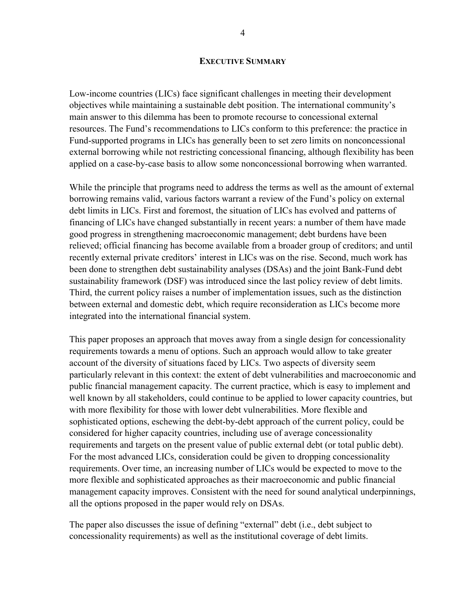#### **EXECUTIVE SUMMARY**

Low-income countries (LICs) face significant challenges in meeting their development objectives while maintaining a sustainable debt position. The international community's main answer to this dilemma has been to promote recourse to concessional external resources. The Fund's recommendations to LICs conform to this preference: the practice in Fund-supported programs in LICs has generally been to set zero limits on nonconcessional external borrowing while not restricting concessional financing, although flexibility has been applied on a case-by-case basis to allow some nonconcessional borrowing when warranted.

While the principle that programs need to address the terms as well as the amount of external borrowing remains valid, various factors warrant a review of the Fund's policy on external debt limits in LICs. First and foremost, the situation of LICs has evolved and patterns of financing of LICs have changed substantially in recent years: a number of them have made good progress in strengthening macroeconomic management; debt burdens have been relieved; official financing has become available from a broader group of creditors; and until recently external private creditors' interest in LICs was on the rise. Second, much work has been done to strengthen debt sustainability analyses (DSAs) and the joint Bank-Fund debt sustainability framework (DSF) was introduced since the last policy review of debt limits. Third, the current policy raises a number of implementation issues, such as the distinction between external and domestic debt, which require reconsideration as LICs become more integrated into the international financial system.

This paper proposes an approach that moves away from a single design for concessionality requirements towards a menu of options. Such an approach would allow to take greater account of the diversity of situations faced by LICs. Two aspects of diversity seem particularly relevant in this context: the extent of debt vulnerabilities and macroeconomic and public financial management capacity. The current practice, which is easy to implement and well known by all stakeholders, could continue to be applied to lower capacity countries, but with more flexibility for those with lower debt vulnerabilities. More flexible and sophisticated options, eschewing the debt-by-debt approach of the current policy, could be considered for higher capacity countries, including use of average concessionality requirements and targets on the present value of public external debt (or total public debt). For the most advanced LICs, consideration could be given to dropping concessionality requirements. Over time, an increasing number of LICs would be expected to move to the more flexible and sophisticated approaches as their macroeconomic and public financial management capacity improves. Consistent with the need for sound analytical underpinnings, all the options proposed in the paper would rely on DSAs.

The paper also discusses the issue of defining "external" debt (i.e., debt subject to concessionality requirements) as well as the institutional coverage of debt limits.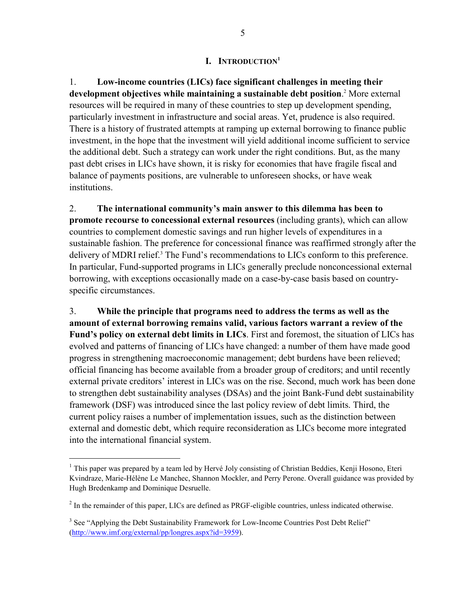#### **I. INTRODUCTION1**

1. **Low-income countries (LICs) face significant challenges in meeting their development objectives while maintaining a sustainable debt position**. 2 More external resources will be required in many of these countries to step up development spending, particularly investment in infrastructure and social areas. Yet, prudence is also required. There is a history of frustrated attempts at ramping up external borrowing to finance public investment, in the hope that the investment will yield additional income sufficient to service the additional debt. Such a strategy can work under the right conditions. But, as the many past debt crises in LICs have shown, it is risky for economies that have fragile fiscal and balance of payments positions, are vulnerable to unforeseen shocks, or have weak institutions.

2. **The international community's main answer to this dilemma has been to promote recourse to concessional external resources** (including grants), which can allow countries to complement domestic savings and run higher levels of expenditures in a sustainable fashion. The preference for concessional finance was reaffirmed strongly after the delivery of MDRI relief.<sup>3</sup> The Fund's recommendations to LICs conform to this preference. In particular, Fund-supported programs in LICs generally preclude nonconcessional external borrowing, with exceptions occasionally made on a case-by-case basis based on countryspecific circumstances.

3. **While the principle that programs need to address the terms as well as the amount of external borrowing remains valid, various factors warrant a review of the Fund's policy on external debt limits in LICs**. First and foremost, the situation of LICs has evolved and patterns of financing of LICs have changed: a number of them have made good progress in strengthening macroeconomic management; debt burdens have been relieved; official financing has become available from a broader group of creditors; and until recently external private creditors' interest in LICs was on the rise. Second, much work has been done to strengthen debt sustainability analyses (DSAs) and the joint Bank-Fund debt sustainability framework (DSF) was introduced since the last policy review of debt limits. Third, the current policy raises a number of implementation issues, such as the distinction between external and domestic debt, which require reconsideration as LICs become more integrated into the international financial system.

<sup>&</sup>lt;sup>1</sup> This paper was prepared by a team led by Hervé Joly consisting of Christian Beddies, Kenji Hosono, Eteri Kvindraze, Marie-Hélène Le Manchec, Shannon Mockler, and Perry Perone. Overall guidance was provided by Hugh Bredenkamp and Dominique Desruelle.

 $2<sup>2</sup>$  In the remainder of this paper, LICs are defined as PRGF-eligible countries, unless indicated otherwise.

<sup>&</sup>lt;sup>3</sup> See "Applying the Debt Sustainability Framework for Low-Income Countries Post Debt Relief" (http://www.imf.org/external/pp/longres.aspx?id=3959).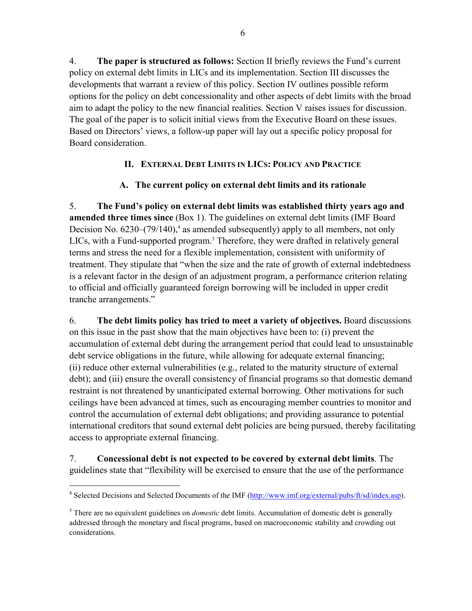4. **The paper is structured as follows:** Section II briefly reviews the Fund's current policy on external debt limits in LICs and its implementation. Section III discusses the developments that warrant a review of this policy. Section IV outlines possible reform options for the policy on debt concessionality and other aspects of debt limits with the broad aim to adapt the policy to the new financial realities. Section V raises issues for discussion. The goal of the paper is to solicit initial views from the Executive Board on these issues. Based on Directors' views, a follow-up paper will lay out a specific policy proposal for Board consideration.

## **II. EXTERNAL DEBT LIMITS IN LICS: POLICY AND PRACTICE**

## **A. The current policy on external debt limits and its rationale**

5. **The Fund's policy on external debt limits was established thirty years ago and amended three times since** (Box 1). The guidelines on external debt limits (IMF Board Decision No.  $6230-(79/140)$ ,<sup>4</sup> as amended subsequently) apply to all members, not only LICs, with a Fund-supported program.<sup>5</sup> Therefore, they were drafted in relatively general terms and stress the need for a flexible implementation, consistent with uniformity of treatment. They stipulate that "when the size and the rate of growth of external indebtedness is a relevant factor in the design of an adjustment program, a performance criterion relating to official and officially guaranteed foreign borrowing will be included in upper credit tranche arrangements."

6. **The debt limits policy has tried to meet a variety of objectives.** Board discussions on this issue in the past show that the main objectives have been to: (i) prevent the accumulation of external debt during the arrangement period that could lead to unsustainable debt service obligations in the future, while allowing for adequate external financing; (ii) reduce other external vulnerabilities (e.g., related to the maturity structure of external debt); and (iii) ensure the overall consistency of financial programs so that domestic demand restraint is not threatened by unanticipated external borrowing. Other motivations for such ceilings have been advanced at times, such as encouraging member countries to monitor and control the accumulation of external debt obligations; and providing assurance to potential international creditors that sound external debt policies are being pursued, thereby facilitating access to appropriate external financing.

7. **Concessional debt is not expected to be covered by external debt limits**. The guidelines state that "flexibility will be exercised to ensure that the use of the performance

1

<sup>&</sup>lt;sup>4</sup> Selected Decisions and Selected Documents of the IMF (http://www.imf.org/external/pubs/ft/sd/index.asp).

<sup>&</sup>lt;sup>5</sup> There are no equivalent guidelines on *domestic* debt limits. Accumulation of domestic debt is generally addressed through the monetary and fiscal programs, based on macroeconomic stability and crowding out considerations.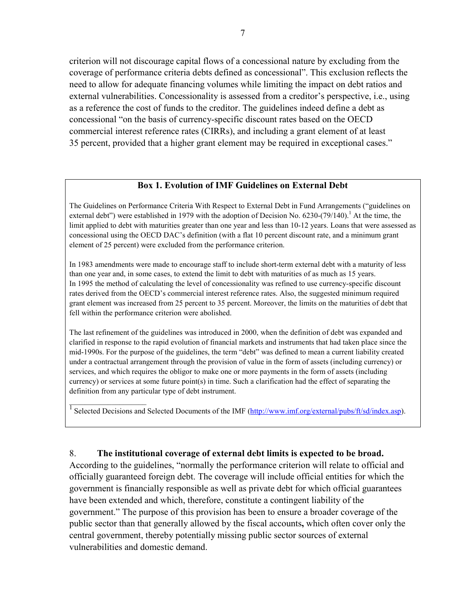criterion will not discourage capital flows of a concessional nature by excluding from the coverage of performance criteria debts defined as concessional". This exclusion reflects the need to allow for adequate financing volumes while limiting the impact on debt ratios and external vulnerabilities. Concessionality is assessed from a creditor's perspective, i.e., using as a reference the cost of funds to the creditor. The guidelines indeed define a debt as concessional "on the basis of currency-specific discount rates based on the OECD commercial interest reference rates (CIRRs), and including a grant element of at least 35 percent, provided that a higher grant element may be required in exceptional cases."

#### **Box 1. Evolution of IMF Guidelines on External Debt**

The Guidelines on Performance Criteria With Respect to External Debt in Fund Arrangements ("guidelines on external debt") were established in 1979 with the adoption of Decision No. 6230-(79/140).<sup>1</sup> At the time, the limit applied to debt with maturities greater than one year and less than 10-12 years. Loans that were assessed as concessional using the OECD DAC's definition (with a flat 10 percent discount rate, and a minimum grant element of 25 percent) were excluded from the performance criterion.

In 1983 amendments were made to encourage staff to include short-term external debt with a maturity of less than one year and, in some cases, to extend the limit to debt with maturities of as much as 15 years. In 1995 the method of calculating the level of concessionality was refined to use currency-specific discount rates derived from the OECD's commercial interest reference rates. Also, the suggested minimum required grant element was increased from 25 percent to 35 percent. Moreover, the limits on the maturities of debt that fell within the performance criterion were abolished.

The last refinement of the guidelines was introduced in 2000, when the definition of debt was expanded and clarified in response to the rapid evolution of financial markets and instruments that had taken place since the mid-1990s. For the purpose of the guidelines, the term "debt" was defined to mean a current liability created under a contractual arrangement through the provision of value in the form of assets (including currency) or services, and which requires the obligor to make one or more payments in the form of assets (including currency) or services at some future point(s) in time. Such a clarification had the effect of separating the definition from any particular type of debt instrument.

 $\frac{1}{1}$  Selected Decisions and Selected Documents of the IMF (http://www.imf.org/external/pubs/ft/sd/index.asp).

#### 8. **The institutional coverage of external debt limits is expected to be broad.**

 $\overline{\phantom{a}}$  , where  $\overline{\phantom{a}}$ 

According to the guidelines, "normally the performance criterion will relate to official and officially guaranteed foreign debt. The coverage will include official entities for which the government is financially responsible as well as private debt for which official guarantees have been extended and which, therefore, constitute a contingent liability of the government." The purpose of this provision has been to ensure a broader coverage of the public sector than that generally allowed by the fiscal accounts**,** which often cover only the central government, thereby potentially missing public sector sources of external vulnerabilities and domestic demand.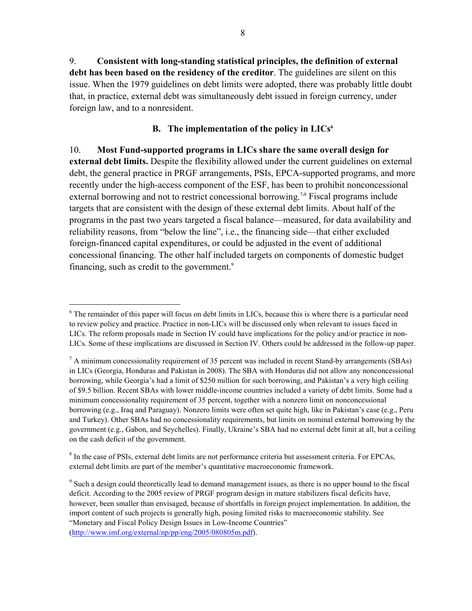8

9. **Consistent with long-standing statistical principles, the definition of external debt has been based on the residency of the creditor**. The guidelines are silent on this issue. When the 1979 guidelines on debt limits were adopted, there was probably little doubt that, in practice, external debt was simultaneously debt issued in foreign currency, under foreign law, and to a nonresident.

#### **B.** The implementation of the policy in LICs<sup>6</sup>

10. **Most Fund-supported programs in LICs share the same overall design for external debt limits.** Despite the flexibility allowed under the current guidelines on external debt, the general practice in PRGF arrangements, PSIs, EPCA-supported programs, and more recently under the high-access component of the ESF, has been to prohibit nonconcessional external borrowing and not to restrict concessional borrowing.<sup>7,8</sup> Fiscal programs include targets that are consistent with the design of these external debt limits. About half of the programs in the past two years targeted a fiscal balance—measured, for data availability and reliability reasons, from "below the line", i.e., the financing side—that either excluded foreign-financed capital expenditures, or could be adjusted in the event of additional concessional financing. The other half included targets on components of domestic budget financing, such as credit to the government.<sup>9</sup>

<sup>&</sup>lt;sup>6</sup> The remainder of this paper will focus on debt limits in LICs, because this is where there is a particular need to review policy and practice. Practice in non-LICs will be discussed only when relevant to issues faced in LICs. The reform proposals made in Section IV could have implications for the policy and/or practice in non-LICs. Some of these implications are discussed in Section IV. Others could be addressed in the follow-up paper.

 $<sup>7</sup>$  A minimum concessionality requirement of 35 percent was included in recent Stand-by arrangements (SBAs)</sup> in LICs (Georgia, Honduras and Pakistan in 2008). The SBA with Honduras did not allow any nonconcessional borrowing, while Georgia's had a limit of \$250 million for such borrowing, and Pakistan's a very high ceiling of \$9.5 billion. Recent SBAs with lower middle-income countries included a variety of debt limits. Some had a minimum concessionality requirement of 35 percent, together with a nonzero limit on nonconcessional borrowing (e.g., Iraq and Paraguay). Nonzero limits were often set quite high, like in Pakistan's case (e.g., Peru and Turkey). Other SBAs had no concessionality requirements, but limits on nominal external borrowing by the government (e.g., Gabon, and Seychelles). Finally, Ukraine's SBA had no external debt limit at all, but a ceiling on the cash deficit of the government.

<sup>&</sup>lt;sup>8</sup> In the case of PSIs, external debt limits are not performance criteria but assessment criteria. For EPCAs, external debt limits are part of the member's quantitative macroeconomic framework.

<sup>&</sup>lt;sup>9</sup> Such a design could theoretically lead to demand management issues, as there is no upper bound to the fiscal deficit. According to the 2005 review of PRGF program design in mature stabilizers fiscal deficits have, however, been smaller than envisaged, because of shortfalls in foreign project implementation. In addition, the import content of such projects is generally high, posing limited risks to macroeconomic stability. See "Monetary and Fiscal Policy Design Issues in Low-Income Countries" (http://www.imf.org/external/np/pp/eng/2005/080805m.pdf).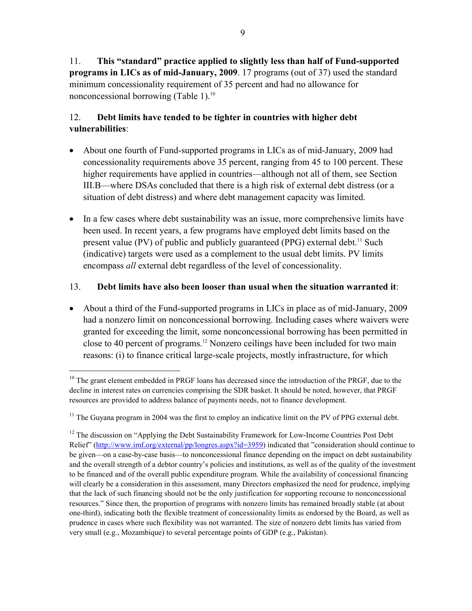11. **This "standard" practice applied to slightly less than half of Fund-supported programs in LICs as of mid-January, 2009**. 17 programs (out of 37) used the standard minimum concessionality requirement of 35 percent and had no allowance for nonconcessional borrowing (Table 1).<sup>10</sup>

## 12. **Debt limits have tended to be tighter in countries with higher debt vulnerabilities**:

- About one fourth of Fund-supported programs in LICs as of mid-January, 2009 had concessionality requirements above 35 percent, ranging from 45 to 100 percent. These higher requirements have applied in countries—although not all of them, see Section III.B—where DSAs concluded that there is a high risk of external debt distress (or a situation of debt distress) and where debt management capacity was limited.
- In a few cases where debt sustainability was an issue, more comprehensive limits have been used. In recent years, a few programs have employed debt limits based on the present value (PV) of public and publicly guaranteed (PPG) external debt.<sup>11</sup> Such (indicative) targets were used as a complement to the usual debt limits. PV limits encompass *all* external debt regardless of the level of concessionality.

### 13. **Debt limits have also been looser than usual when the situation warranted it**:

• About a third of the Fund-supported programs in LICs in place as of mid-January, 2009 had a nonzero limit on nonconcessional borrowing. Including cases where waivers were granted for exceeding the limit, some nonconcessional borrowing has been permitted in close to 40 percent of programs.12 Nonzero ceilings have been included for two main reasons: (i) to finance critical large-scale projects, mostly infrastructure, for which

<sup>&</sup>lt;sup>10</sup> The grant element embedded in PRGF loans has decreased since the introduction of the PRGF, due to the decline in interest rates on currencies comprising the SDR basket. It should be noted, however, that PRGF resources are provided to address balance of payments needs, not to finance development.

 $11$  The Guyana program in 2004 was the first to employ an indicative limit on the PV of PPG external debt.

 $12$  The discussion on "Applying the Debt Sustainability Framework for Low-Income Countries Post Debt Relief" (http://www.imf.org/external/pp/longres.aspx?id=3959) indicated that "consideration should continue to be given—on a case-by-case basis—to nonconcessional finance depending on the impact on debt sustainability and the overall strength of a debtor country's policies and institutions, as well as of the quality of the investment to be financed and of the overall public expenditure program. While the availability of concessional financing will clearly be a consideration in this assessment, many Directors emphasized the need for prudence, implying that the lack of such financing should not be the only justification for supporting recourse to nonconcessional resources." Since then, the proportion of programs with nonzero limits has remained broadly stable (at about one-third), indicating both the flexible treatment of concessionality limits as endorsed by the Board, as well as prudence in cases where such flexibility was not warranted. The size of nonzero debt limits has varied from very small (e.g., Mozambique) to several percentage points of GDP (e.g., Pakistan).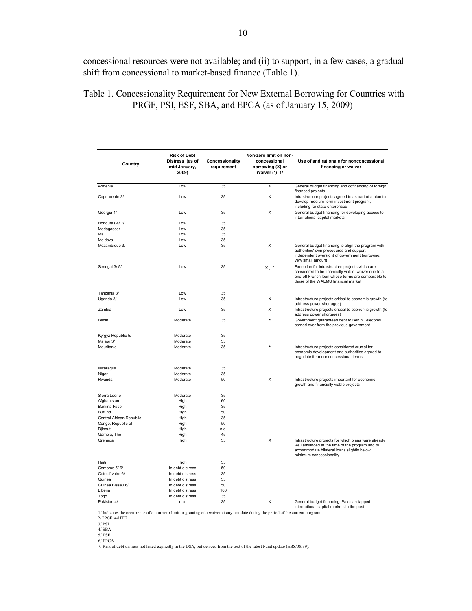concessional resources were not available; and (ii) to support, in a few cases, a gradual shift from concessional to market-based finance (Table 1).

| Country                  | <b>Risk of Debt</b><br>Distress (as of<br>mid January,<br>2009) | Concessionality<br>requirement | Non-zero limit on non-<br>concessional<br>borrowing (X) or<br>Waiver (*) 1/ | Use of and rationale for nonconcessional<br>financing or waiver                                                                                                                                     |
|--------------------------|-----------------------------------------------------------------|--------------------------------|-----------------------------------------------------------------------------|-----------------------------------------------------------------------------------------------------------------------------------------------------------------------------------------------------|
| Armenia                  | Low                                                             | 35                             | Χ                                                                           | General budget financing and cofinancing of foreign<br>financed projects                                                                                                                            |
| Cape Verde 3/            | Low                                                             | 35                             | X                                                                           | Infrastructure projects agreed to as part of a plan to<br>develop medium-term investment program,<br>including for state enterprises                                                                |
| Georgia 4/               | Low                                                             | 35                             | X                                                                           | General budget financing for developing access to<br>international capital markets                                                                                                                  |
| Honduras 4/7/            | Low                                                             | 35                             |                                                                             |                                                                                                                                                                                                     |
| Madagascar               | Low                                                             | 35                             |                                                                             |                                                                                                                                                                                                     |
| Mali                     | Low                                                             | 35                             |                                                                             |                                                                                                                                                                                                     |
|                          | Low                                                             | 35                             |                                                                             |                                                                                                                                                                                                     |
| Moldova                  |                                                                 |                                |                                                                             |                                                                                                                                                                                                     |
| Mozambique 3/            | Low                                                             | 35                             | X                                                                           | General budget financing to align the program with<br>authorities' own procedures and support<br>independent oversight of government borrowing;<br>very small amount                                |
| Senegal 3/5/             | Low                                                             | 35                             | x, *                                                                        | Exception for infrastructure projects which are<br>considered to be financially viable; waiver due to a<br>one-off French loan whose terms are comparable to<br>those of the WAEMU financial market |
| Tanzania 3/              | Low                                                             | 35                             |                                                                             |                                                                                                                                                                                                     |
| Uganda 3/                | Low                                                             | 35                             | X                                                                           | Infrastructure projects critical to economic growth (to<br>address power shortages)                                                                                                                 |
| Zambia                   | Low                                                             | 35                             | X                                                                           | Infrastructure projects critical to economic growth (to<br>address power shortages)                                                                                                                 |
| Benin                    | Moderate                                                        | 35                             | $\star$                                                                     | Government guaranteed debt to Benin Telecoms<br>carried over from the previous government                                                                                                           |
| Kyrgyz Republic 5/       | Moderate                                                        | 35                             |                                                                             |                                                                                                                                                                                                     |
| Malawi 3/                | Moderate                                                        | 35                             |                                                                             |                                                                                                                                                                                                     |
| Mauritania               | Moderate                                                        | 35                             |                                                                             | Infrastructure projects considered crucial for<br>economic development and authorities agreed to<br>negotiate for more concessional terms                                                           |
| Nicaragua                | Moderate                                                        | 35                             |                                                                             |                                                                                                                                                                                                     |
| Niger                    | Moderate                                                        | 35                             |                                                                             |                                                                                                                                                                                                     |
| Rwanda                   | Moderate                                                        | 50                             | X                                                                           | Infrastructure projects important for economic<br>growth and financially viable projects                                                                                                            |
| Sierra Leone             | Moderate                                                        | 35                             |                                                                             |                                                                                                                                                                                                     |
| Afghanistan              | High                                                            | 60                             |                                                                             |                                                                                                                                                                                                     |
|                          |                                                                 |                                |                                                                             |                                                                                                                                                                                                     |
| Burkina Faso             | High                                                            | 35                             |                                                                             |                                                                                                                                                                                                     |
| Burundi                  | High                                                            | 50                             |                                                                             |                                                                                                                                                                                                     |
| Central African Republic | High                                                            | 35                             |                                                                             |                                                                                                                                                                                                     |
| Congo, Republic of       | High                                                            | 50                             |                                                                             |                                                                                                                                                                                                     |
| Djibouti                 | High                                                            | n.a.                           |                                                                             |                                                                                                                                                                                                     |
| Gambia, The              | High                                                            | 45                             |                                                                             |                                                                                                                                                                                                     |
| Grenada                  | High                                                            | 35                             | X                                                                           | Infrastructure projects for which plans were already<br>well advanced at the time of the program and to<br>accommodate bilateral loans slightly below<br>minimum concessionality                    |
| Haiti                    | High                                                            | 35                             |                                                                             |                                                                                                                                                                                                     |
| Comoros 5/6/             | In debt distress                                                | 50                             |                                                                             |                                                                                                                                                                                                     |
| Cote d'Ivoire 6/         | In debt distress                                                | 35                             |                                                                             |                                                                                                                                                                                                     |
|                          |                                                                 |                                |                                                                             |                                                                                                                                                                                                     |
| Guinea                   | In debt distress                                                | 35                             |                                                                             |                                                                                                                                                                                                     |
| Guinea Bissau 6/         | In debt distress                                                | 50                             |                                                                             |                                                                                                                                                                                                     |
| Liberia                  | In debt distress                                                | 100                            |                                                                             |                                                                                                                                                                                                     |
| Togo                     | In debt distress                                                | 35                             |                                                                             |                                                                                                                                                                                                     |
| Pakistan 4/              | n.a.                                                            | 35                             | X                                                                           | General budget financing; Pakistan tapped<br>international canital markets in the nast                                                                                                              |

 Table 1. Concessionality Requirement for New External Borrowing for Countries with PRGF, PSI, ESF, SBA, and EPCA (as of January 15, 2009)

international capital markets in the past 1/ Indicates the occurrence of a non-zero limit or granting of a waiver at any test date during the period of the current program. 2/ PRGF and EFF

3/ PSI

4/ SBA

5/ ESF<br>6/ EPCA<br>7/ Risk of debt distress not listed explicitly in the DSA, but derived from the text of the latest Fund update (EBS/08/39).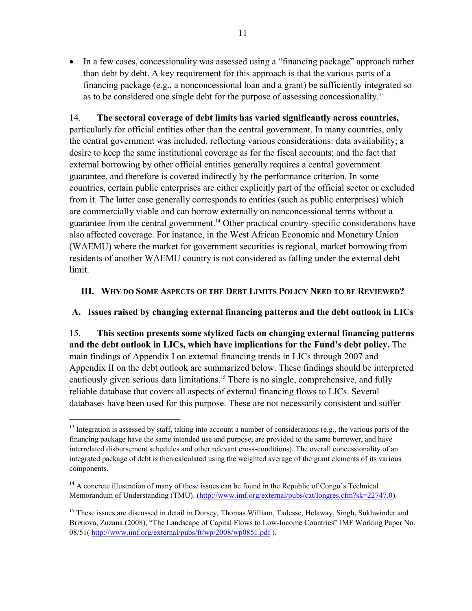• In a few cases, concessionality was assessed using a "financing package" approach rather than debt by debt. A key requirement for this approach is that the various parts of a financing package (e.g., a nonconcessional loan and a grant) be sufficiently integrated so as to be considered one single debt for the purpose of assessing concessionality.13

14. **The sectoral coverage of debt limits has varied significantly across countries,**  particularly for official entities other than the central government. In many countries, only the central government was included, reflecting various considerations: data availability; a desire to keep the same institutional coverage as for the fiscal accounts; and the fact that external borrowing by other official entities generally requires a central government guarantee, and therefore is covered indirectly by the performance criterion. In some countries, certain public enterprises are either explicitly part of the official sector or excluded from it. The latter case generally corresponds to entities (such as public enterprises) which are commercially viable and can borrow externally on nonconcessional terms without a guarantee from the central government.14 Other practical country-specific considerations have also affected coverage. For instance, in the West African Economic and Monetary Union (WAEMU) where the market for government securities is regional, market borrowing from residents of another WAEMU country is not considered as falling under the external debt limit.

### **III. WHY DO SOME ASPECTS OF THE DEBT LIMITS POLICY NEED TO BE REVIEWED?**

**A. Issues raised by changing external financing patterns and the debt outlook in LICs** 

15. **This section presents some stylized facts on changing external financing patterns and the debt outlook in LICs, which have implications for the Fund's debt policy.** The main findings of Appendix I on external financing trends in LICs through 2007 and Appendix II on the debt outlook are summarized below. These findings should be interpreted cautiously given serious data limitations.15 There is no single, comprehensive, and fully reliable database that covers all aspects of external financing flows to LICs. Several databases have been used for this purpose. These are not necessarily consistent and suffer

<sup>&</sup>lt;sup>13</sup> Integration is assessed by staff, taking into account a number of considerations (e.g., the various parts of the financing package have the same intended use and purpose, are provided to the same borrower, and have interrelated disbursement schedules and other relevant cross-conditions). The overall concessionality of an integrated package of debt is then calculated using the weighted average of the grant elements of its various components.

 $<sup>14</sup>$  A concrete illustration of many of these issues can be found in the Republic of Congo's Technical</sup> Memorandum of Understanding (TMU). (http://www.imf.org/external/pubs/cat/longres.cfm?sk=22747.0).

<sup>&</sup>lt;sup>15</sup> These issues are discussed in detail in Dorsey, Thomas William, Tadesse, Helaway, Singh, Sukhwinder and Brixiova, Zuzana (2008), "The Landscape of Capital Flows to Low-Income Countries" IMF Working Paper No. 08/51( http://www.imf.org/external/pubs/ft/wp/2008/wp0851.pdf ).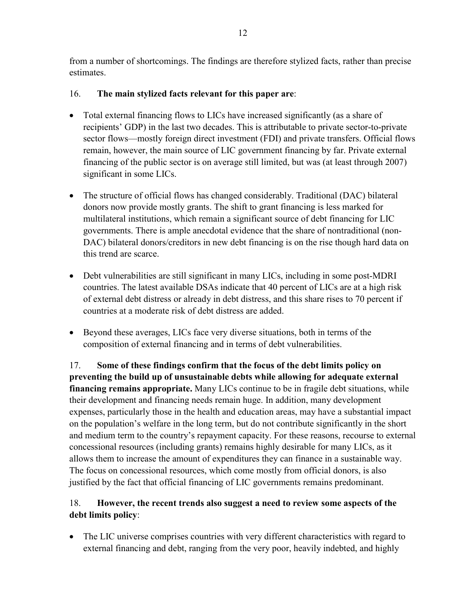from a number of shortcomings. The findings are therefore stylized facts, rather than precise estimates.

## 16. **The main stylized facts relevant for this paper are**:

- Total external financing flows to LICs have increased significantly (as a share of recipients' GDP) in the last two decades. This is attributable to private sector-to-private sector flows—mostly foreign direct investment (FDI) and private transfers. Official flows remain, however, the main source of LIC government financing by far. Private external financing of the public sector is on average still limited, but was (at least through 2007) significant in some LICs.
- The structure of official flows has changed considerably. Traditional (DAC) bilateral donors now provide mostly grants. The shift to grant financing is less marked for multilateral institutions, which remain a significant source of debt financing for LIC governments. There is ample anecdotal evidence that the share of nontraditional (non-DAC) bilateral donors/creditors in new debt financing is on the rise though hard data on this trend are scarce.
- Debt vulnerabilities are still significant in many LICs, including in some post-MDRI countries. The latest available DSAs indicate that 40 percent of LICs are at a high risk of external debt distress or already in debt distress, and this share rises to 70 percent if countries at a moderate risk of debt distress are added.
- Beyond these averages, LICs face very diverse situations, both in terms of the composition of external financing and in terms of debt vulnerabilities.

17. **Some of these findings confirm that the focus of the debt limits policy on preventing the build up of unsustainable debts while allowing for adequate external financing remains appropriate.** Many LICs continue to be in fragile debt situations, while their development and financing needs remain huge. In addition, many development expenses, particularly those in the health and education areas, may have a substantial impact on the population's welfare in the long term, but do not contribute significantly in the short and medium term to the country's repayment capacity. For these reasons, recourse to external concessional resources (including grants) remains highly desirable for many LICs, as it allows them to increase the amount of expenditures they can finance in a sustainable way. The focus on concessional resources, which come mostly from official donors, is also justified by the fact that official financing of LIC governments remains predominant.

## 18. **However, the recent trends also suggest a need to review some aspects of the debt limits policy**:

• The LIC universe comprises countries with very different characteristics with regard to external financing and debt, ranging from the very poor, heavily indebted, and highly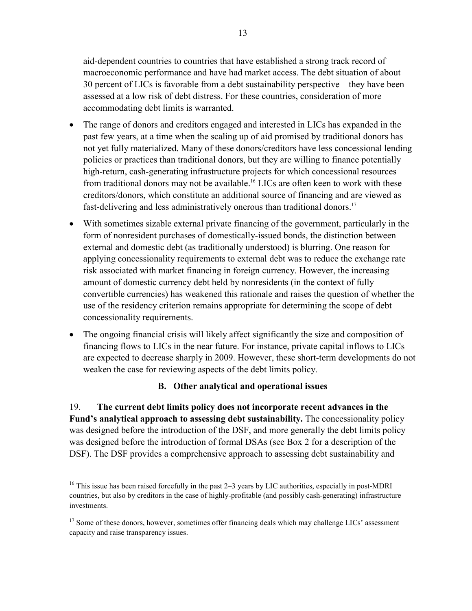aid-dependent countries to countries that have established a strong track record of macroeconomic performance and have had market access. The debt situation of about 30 percent of LICs is favorable from a debt sustainability perspective—they have been assessed at a low risk of debt distress. For these countries, consideration of more accommodating debt limits is warranted.

- The range of donors and creditors engaged and interested in LICs has expanded in the past few years, at a time when the scaling up of aid promised by traditional donors has not yet fully materialized. Many of these donors/creditors have less concessional lending policies or practices than traditional donors, but they are willing to finance potentially high-return, cash-generating infrastructure projects for which concessional resources from traditional donors may not be available.<sup>16</sup> LICs are often keen to work with these creditors/donors, which constitute an additional source of financing and are viewed as fast-delivering and less administratively onerous than traditional donors.<sup>17</sup>
- With sometimes sizable external private financing of the government, particularly in the form of nonresident purchases of domestically-issued bonds, the distinction between external and domestic debt (as traditionally understood) is blurring. One reason for applying concessionality requirements to external debt was to reduce the exchange rate risk associated with market financing in foreign currency. However, the increasing amount of domestic currency debt held by nonresidents (in the context of fully convertible currencies) has weakened this rationale and raises the question of whether the use of the residency criterion remains appropriate for determining the scope of debt concessionality requirements.
- The ongoing financial crisis will likely affect significantly the size and composition of financing flows to LICs in the near future. For instance, private capital inflows to LICs are expected to decrease sharply in 2009. However, these short-term developments do not weaken the case for reviewing aspects of the debt limits policy.

## **B. Other analytical and operational issues**

19. **The current debt limits policy does not incorporate recent advances in the Fund's analytical approach to assessing debt sustainability.** The concessionality policy was designed before the introduction of the DSF, and more generally the debt limits policy was designed before the introduction of formal DSAs (see Box 2 for a description of the DSF). The DSF provides a comprehensive approach to assessing debt sustainability and

<u>.</u>

<sup>&</sup>lt;sup>16</sup> This issue has been raised forcefully in the past  $2-3$  years by LIC authorities, especially in post-MDRI countries, but also by creditors in the case of highly-profitable (and possibly cash-generating) infrastructure investments.

<sup>&</sup>lt;sup>17</sup> Some of these donors, however, sometimes offer financing deals which may challenge LICs' assessment capacity and raise transparency issues.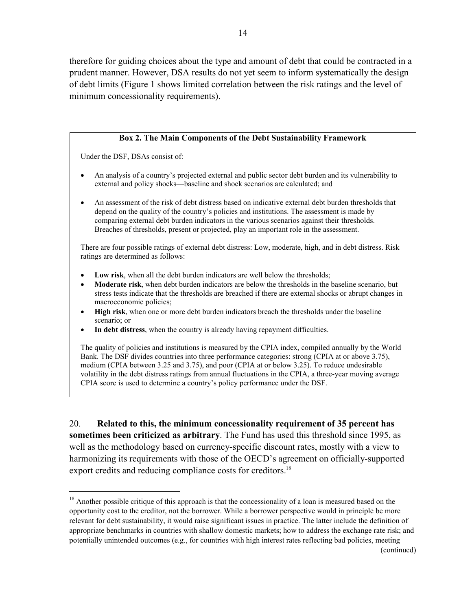therefore for guiding choices about the type and amount of debt that could be contracted in a prudent manner. However, DSA results do not yet seem to inform systematically the design of debt limits (Figure 1 shows limited correlation between the risk ratings and the level of minimum concessionality requirements).

#### **Box 2. The Main Components of the Debt Sustainability Framework**

Under the DSF, DSAs consist of:

 $\overline{a}$ 

- An analysis of a country's projected external and public sector debt burden and its vulnerability to external and policy shocks—baseline and shock scenarios are calculated; and
- An assessment of the risk of debt distress based on indicative external debt burden thresholds that depend on the quality of the country's policies and institutions. The assessment is made by comparing external debt burden indicators in the various scenarios against their thresholds. Breaches of thresholds, present or projected, play an important role in the assessment.

There are four possible ratings of external debt distress: Low, moderate, high, and in debt distress. Risk ratings are determined as follows:

- Low risk, when all the debt burden indicators are well below the thresholds;
- **Moderate risk**, when debt burden indicators are below the thresholds in the baseline scenario, but stress tests indicate that the thresholds are breached if there are external shocks or abrupt changes in macroeconomic policies;
- **High risk**, when one or more debt burden indicators breach the thresholds under the baseline scenario; or
- In debt distress, when the country is already having repayment difficulties.

The quality of policies and institutions is measured by the CPIA index, compiled annually by the World Bank. The DSF divides countries into three performance categories: strong (CPIA at or above 3.75), medium (CPIA between 3.25 and 3.75), and poor (CPIA at or below 3.25). To reduce undesirable volatility in the debt distress ratings from annual fluctuations in the CPIA, a three-year moving average CPIA score is used to determine a country's policy performance under the DSF.

20. **Related to this, the minimum concessionality requirement of 35 percent has sometimes been criticized as arbitrary**. The Fund has used this threshold since 1995, as well as the methodology based on currency-specific discount rates, mostly with a view to harmonizing its requirements with those of the OECD's agreement on officially-supported export credits and reducing compliance costs for creditors.<sup>18</sup>

<sup>&</sup>lt;sup>18</sup> Another possible critique of this approach is that the concessionality of a loan is measured based on the opportunity cost to the creditor, not the borrower. While a borrower perspective would in principle be more relevant for debt sustainability, it would raise significant issues in practice. The latter include the definition of appropriate benchmarks in countries with shallow domestic markets; how to address the exchange rate risk; and potentially unintended outcomes (e.g., for countries with high interest rates reflecting bad policies, meeting (continued)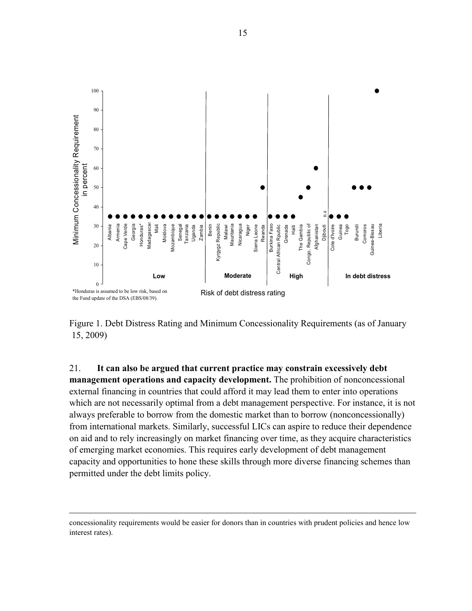

Figure 1. Debt Distress Rating and Minimum Concessionality Requirements (as of January 15, 2009)

21. **It can also be argued that current practice may constrain excessively debt management operations and capacity development.** The prohibition of nonconcessional external financing in countries that could afford it may lead them to enter into operations which are not necessarily optimal from a debt management perspective. For instance, it is not always preferable to borrow from the domestic market than to borrow (nonconcessionally) from international markets. Similarly, successful LICs can aspire to reduce their dependence on aid and to rely increasingly on market financing over time, as they acquire characteristics of emerging market economies. This requires early development of debt management capacity and opportunities to hone these skills through more diverse financing schemes than permitted under the debt limits policy.

<u>.</u>

concessionality requirements would be easier for donors than in countries with prudent policies and hence low interest rates).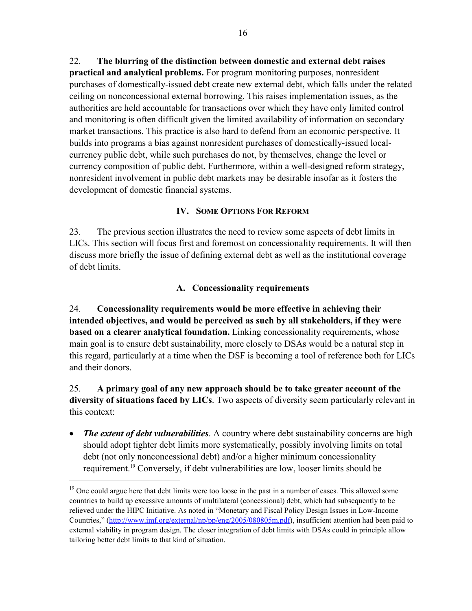22. **The blurring of the distinction between domestic and external debt raises practical and analytical problems.** For program monitoring purposes, nonresident purchases of domestically-issued debt create new external debt, which falls under the related ceiling on nonconcessional external borrowing. This raises implementation issues, as the authorities are held accountable for transactions over which they have only limited control and monitoring is often difficult given the limited availability of information on secondary market transactions. This practice is also hard to defend from an economic perspective. It builds into programs a bias against nonresident purchases of domestically-issued localcurrency public debt, while such purchases do not, by themselves, change the level or currency composition of public debt. Furthermore, within a well-designed reform strategy, nonresident involvement in public debt markets may be desirable insofar as it fosters the development of domestic financial systems.

## **IV. SOME OPTIONS FOR REFORM**

23. The previous section illustrates the need to review some aspects of debt limits in LICs. This section will focus first and foremost on concessionality requirements. It will then discuss more briefly the issue of defining external debt as well as the institutional coverage of debt limits.

#### **A. Concessionality requirements**

24. **Concessionality requirements would be more effective in achieving their intended objectives, and would be perceived as such by all stakeholders, if they were based on a clearer analytical foundation.** Linking concessionality requirements, whose main goal is to ensure debt sustainability, more closely to DSAs would be a natural step in this regard, particularly at a time when the DSF is becoming a tool of reference both for LICs and their donors.

25. **A primary goal of any new approach should be to take greater account of the diversity of situations faced by LICs**. Two aspects of diversity seem particularly relevant in this context:

• *The extent of debt vulnerabilities*. A country where debt sustainability concerns are high should adopt tighter debt limits more systematically, possibly involving limits on total debt (not only nonconcessional debt) and/or a higher minimum concessionality requirement.19 Conversely, if debt vulnerabilities are low, looser limits should be

1

<sup>&</sup>lt;sup>19</sup> One could argue here that debt limits were too loose in the past in a number of cases. This allowed some countries to build up excessive amounts of multilateral (concessional) debt, which had subsequently to be relieved under the HIPC Initiative. As noted in "Monetary and Fiscal Policy Design Issues in Low-Income Countries," (http://www.imf.org/external/np/pp/eng/2005/080805m.pdf), insufficient attention had been paid to external viability in program design. The closer integration of debt limits with DSAs could in principle allow tailoring better debt limits to that kind of situation.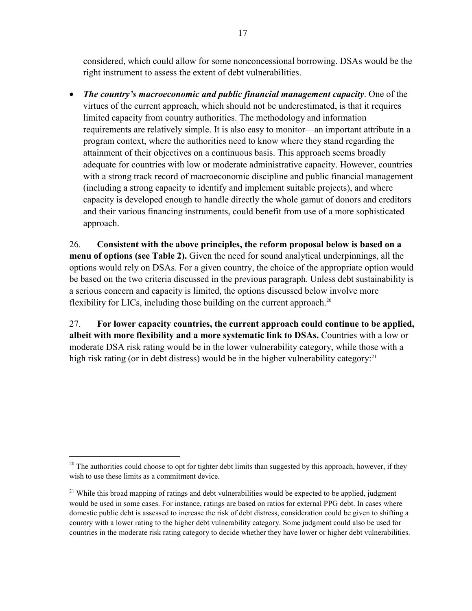considered, which could allow for some nonconcessional borrowing. DSAs would be the right instrument to assess the extent of debt vulnerabilities.

• *The country's macroeconomic and public financial management capacity*. One of the virtues of the current approach, which should not be underestimated, is that it requires limited capacity from country authorities. The methodology and information requirements are relatively simple. It is also easy to monitor—an important attribute in a program context, where the authorities need to know where they stand regarding the attainment of their objectives on a continuous basis. This approach seems broadly adequate for countries with low or moderate administrative capacity. However, countries with a strong track record of macroeconomic discipline and public financial management (including a strong capacity to identify and implement suitable projects), and where capacity is developed enough to handle directly the whole gamut of donors and creditors and their various financing instruments, could benefit from use of a more sophisticated approach.

26. **Consistent with the above principles, the reform proposal below is based on a menu of options (see Table 2).** Given the need for sound analytical underpinnings, all the options would rely on DSAs. For a given country, the choice of the appropriate option would be based on the two criteria discussed in the previous paragraph. Unless debt sustainability is a serious concern and capacity is limited, the options discussed below involve more flexibility for LICs, including those building on the current approach.<sup>20</sup>

27. **For lower capacity countries, the current approach could continue to be applied, albeit with more flexibility and a more systematic link to DSAs.** Countries with a low or moderate DSA risk rating would be in the lower vulnerability category, while those with a high risk rating (or in debt distress) would be in the higher vulnerability category.<sup>21</sup>

 $^{20}$  The authorities could choose to opt for tighter debt limits than suggested by this approach, however, if they wish to use these limits as a commitment device.

<sup>&</sup>lt;sup>21</sup> While this broad mapping of ratings and debt vulnerabilities would be expected to be applied, judgment would be used in some cases. For instance, ratings are based on ratios for external PPG debt. In cases where domestic public debt is assessed to increase the risk of debt distress, consideration could be given to shifting a country with a lower rating to the higher debt vulnerability category. Some judgment could also be used for countries in the moderate risk rating category to decide whether they have lower or higher debt vulnerabilities.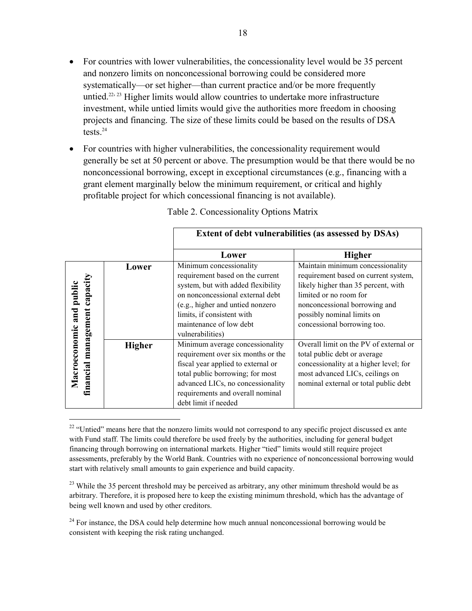- For countries with lower vulnerabilities, the concessionality level would be 35 percent and nonzero limits on nonconcessional borrowing could be considered more systematically—or set higher—than current practice and/or be more frequently untied.<sup>22, 23</sup> Higher limits would allow countries to undertake more infrastructure investment, while untied limits would give the authorities more freedom in choosing projects and financing. The size of these limits could be based on the results of DSA tests.24
- For countries with higher vulnerabilities, the concessionality requirement would generally be set at 50 percent or above. The presumption would be that there would be no nonconcessional borrowing, except in exceptional circumstances (e.g., financing with a grant element marginally below the minimum requirement, or critical and highly profitable project for which concessional financing is not available).

|                                                    |               | Extent of debt vulnerabilities (as assessed by DSAs)                                                                                                                                                                                                   |                                                                                                                                                                                                                                         |  |
|----------------------------------------------------|---------------|--------------------------------------------------------------------------------------------------------------------------------------------------------------------------------------------------------------------------------------------------------|-----------------------------------------------------------------------------------------------------------------------------------------------------------------------------------------------------------------------------------------|--|
|                                                    |               | <b>Higher</b><br>Lower                                                                                                                                                                                                                                 |                                                                                                                                                                                                                                         |  |
| capacity<br>Macroeconomic and public<br>management | Lower         | Minimum concessionality<br>requirement based on the current<br>system, but with added flexibility<br>on nonconcessional external debt<br>(e.g., higher and untied nonzero<br>limits, if consistent with<br>maintenance of low debt<br>vulnerabilities) | Maintain minimum concessionality<br>requirement based on current system,<br>likely higher than 35 percent, with<br>limited or no room for<br>nonconcessional borrowing and<br>possibly nominal limits on<br>concessional borrowing too. |  |
| financial                                          | <b>Higher</b> | Minimum average concessionality<br>requirement over six months or the<br>fiscal year applied to external or<br>total public borrowing; for most<br>advanced LICs, no concessionality<br>requirements and overall nominal<br>debt limit if needed       | Overall limit on the PV of external or<br>total public debt or average<br>concessionality at a higher level; for<br>most advanced LICs, ceilings on<br>nominal external or total public debt                                            |  |

Table 2. Concessionality Options Matrix

<sup>&</sup>lt;sup>22</sup> "Untied" means here that the nonzero limits would not correspond to any specific project discussed ex ante with Fund staff. The limits could therefore be used freely by the authorities, including for general budget financing through borrowing on international markets. Higher "tied" limits would still require project assessments, preferably by the World Bank. Countries with no experience of nonconcessional borrowing would start with relatively small amounts to gain experience and build capacity.

<sup>&</sup>lt;sup>23</sup> While the 35 percent threshold may be perceived as arbitrary, any other minimum threshold would be as arbitrary. Therefore, it is proposed here to keep the existing minimum threshold, which has the advantage of being well known and used by other creditors.

 $24$  For instance, the DSA could help determine how much annual nonconcessional borrowing would be consistent with keeping the risk rating unchanged.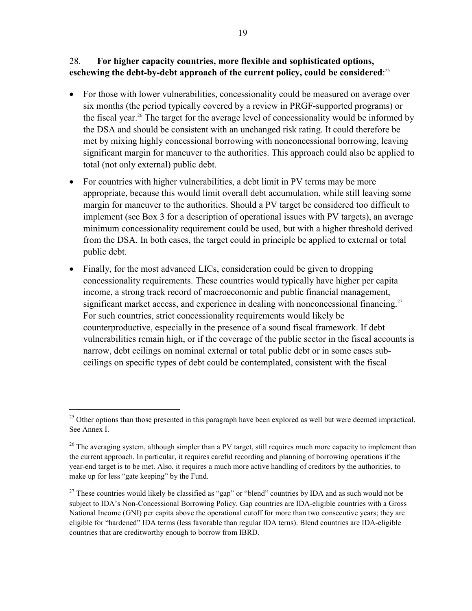### 28. **For higher capacity countries, more flexible and sophisticated options, eschewing the debt-by-debt approach of the current policy, could be considered**: 25

- For those with lower vulnerabilities, concessionality could be measured on average over six months (the period typically covered by a review in PRGF-supported programs) or the fiscal year.26 The target for the average level of concessionality would be informed by the DSA and should be consistent with an unchanged risk rating. It could therefore be met by mixing highly concessional borrowing with nonconcessional borrowing, leaving significant margin for maneuver to the authorities. This approach could also be applied to total (not only external) public debt.
- For countries with higher vulnerabilities, a debt limit in PV terms may be more appropriate, because this would limit overall debt accumulation, while still leaving some margin for maneuver to the authorities. Should a PV target be considered too difficult to implement (see Box 3 for a description of operational issues with PV targets), an average minimum concessionality requirement could be used, but with a higher threshold derived from the DSA. In both cases, the target could in principle be applied to external or total public debt.
- Finally, for the most advanced LICs, consideration could be given to dropping concessionality requirements. These countries would typically have higher per capita income, a strong track record of macroeconomic and public financial management, significant market access, and experience in dealing with nonconcessional financing.<sup>27</sup> For such countries, strict concessionality requirements would likely be counterproductive, especially in the presence of a sound fiscal framework. If debt vulnerabilities remain high, or if the coverage of the public sector in the fiscal accounts is narrow, debt ceilings on nominal external or total public debt or in some cases subceilings on specific types of debt could be contemplated, consistent with the fiscal

<u>.</u>

<sup>&</sup>lt;sup>25</sup> Other options than those presented in this paragraph have been explored as well but were deemed impractical. See Annex I.

 $^{26}$  The averaging system, although simpler than a PV target, still requires much more capacity to implement than the current approach. In particular, it requires careful recording and planning of borrowing operations if the year-end target is to be met. Also, it requires a much more active handling of creditors by the authorities, to make up for less "gate keeping" by the Fund.

<sup>&</sup>lt;sup>27</sup> These countries would likely be classified as "gap" or "blend" countries by IDA and as such would not be subject to IDA's Non-Concessional Borrowing Policy. Gap countries are IDA-eligible countries with a Gross National Income (GNI) per capita above the operational cutoff for more than two consecutive years; they are eligible for "hardened" IDA terms (less favorable than regular IDA terns). Blend countries are IDA-eligible countries that are creditworthy enough to borrow from IBRD.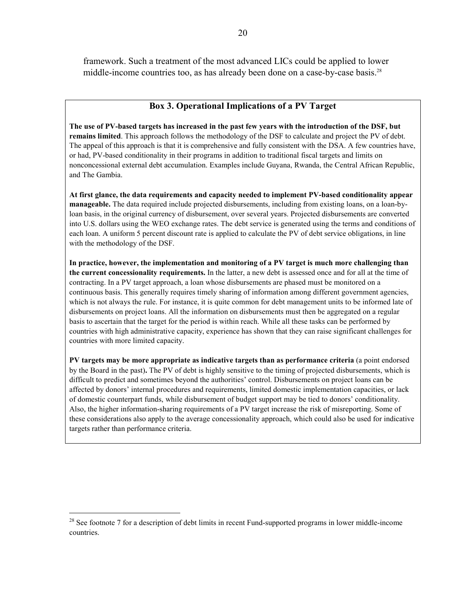framework. Such a treatment of the most advanced LICs could be applied to lower middle-income countries too, as has already been done on a case-by-case basis.<sup>28</sup>

#### **Box 3. Operational Implications of a PV Target**

**The use of PV-based targets has increased in the past few years with the introduction of the DSF, but remains limited**. This approach follows the methodology of the DSF to calculate and project the PV of debt. The appeal of this approach is that it is comprehensive and fully consistent with the DSA. A few countries have, or had, PV-based conditionality in their programs in addition to traditional fiscal targets and limits on nonconcessional external debt accumulation. Examples include Guyana, Rwanda, the Central African Republic, and The Gambia.

**At first glance, the data requirements and capacity needed to implement PV-based conditionality appear manageable.** The data required include projected disbursements, including from existing loans, on a loan-byloan basis, in the original currency of disbursement, over several years. Projected disbursements are converted into U.S. dollars using the WEO exchange rates. The debt service is generated using the terms and conditions of each loan. A uniform 5 percent discount rate is applied to calculate the PV of debt service obligations, in line with the methodology of the DSF.

**In practice, however, the implementation and monitoring of a PV target is much more challenging than the current concessionality requirements.** In the latter, a new debt is assessed once and for all at the time of contracting. In a PV target approach, a loan whose disbursements are phased must be monitored on a continuous basis. This generally requires timely sharing of information among different government agencies, which is not always the rule. For instance, it is quite common for debt management units to be informed late of disbursements on project loans. All the information on disbursements must then be aggregated on a regular basis to ascertain that the target for the period is within reach. While all these tasks can be performed by countries with high administrative capacity, experience has shown that they can raise significant challenges for countries with more limited capacity.

**PV targets may be more appropriate as indicative targets than as performance criteria** (a point endorsed by the Board in the past)**.** The PV of debt is highly sensitive to the timing of projected disbursements, which is difficult to predict and sometimes beyond the authorities' control. Disbursements on project loans can be affected by donors' internal procedures and requirements, limited domestic implementation capacities, or lack of domestic counterpart funds, while disbursement of budget support may be tied to donors' conditionality. Also, the higher information-sharing requirements of a PV target increase the risk of misreporting. Some of these considerations also apply to the average concessionality approach, which could also be used for indicative targets rather than performance criteria.

 $^{28}$  See footnote 7 for a description of debt limits in recent Fund-supported programs in lower middle-income countries.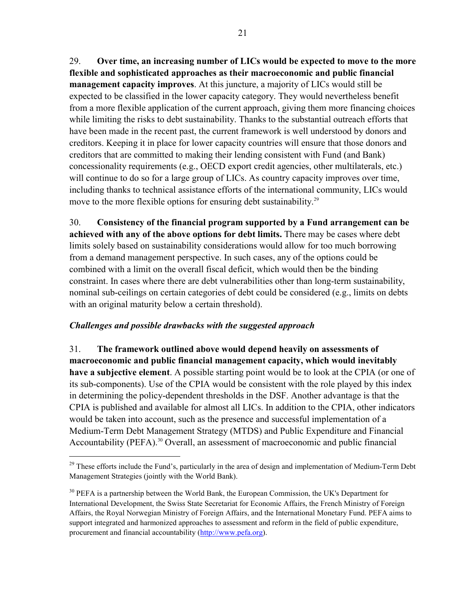29. **Over time, an increasing number of LICs would be expected to move to the more flexible and sophisticated approaches as their macroeconomic and public financial management capacity improves**. At this juncture, a majority of LICs would still be expected to be classified in the lower capacity category. They would nevertheless benefit from a more flexible application of the current approach, giving them more financing choices while limiting the risks to debt sustainability. Thanks to the substantial outreach efforts that have been made in the recent past, the current framework is well understood by donors and creditors. Keeping it in place for lower capacity countries will ensure that those donors and creditors that are committed to making their lending consistent with Fund (and Bank) concessionality requirements (e.g., OECD export credit agencies, other multilaterals, etc.) will continue to do so for a large group of LICs. As country capacity improves over time, including thanks to technical assistance efforts of the international community, LICs would move to the more flexible options for ensuring debt sustainability.<sup>29</sup>

30. **Consistency of the financial program supported by a Fund arrangement can be achieved with any of the above options for debt limits.** There may be cases where debt limits solely based on sustainability considerations would allow for too much borrowing from a demand management perspective. In such cases, any of the options could be combined with a limit on the overall fiscal deficit, which would then be the binding constraint. In cases where there are debt vulnerabilities other than long-term sustainability, nominal sub-ceilings on certain categories of debt could be considered (e.g., limits on debts with an original maturity below a certain threshold).

#### *Challenges and possible drawbacks with the suggested approach*

 $\overline{a}$ 

31. **The framework outlined above would depend heavily on assessments of macroeconomic and public financial management capacity, which would inevitably have a subjective element**. A possible starting point would be to look at the CPIA (or one of its sub-components). Use of the CPIA would be consistent with the role played by this index in determining the policy-dependent thresholds in the DSF. Another advantage is that the CPIA is published and available for almost all LICs. In addition to the CPIA, other indicators would be taken into account, such as the presence and successful implementation of a Medium-Term Debt Management Strategy (MTDS) and Public Expenditure and Financial Accountability (PEFA).<sup>30</sup> Overall, an assessment of macroeconomic and public financial

 $^{29}$  These efforts include the Fund's, particularly in the area of design and implementation of Medium-Term Debt Management Strategies (jointly with the World Bank).

<sup>&</sup>lt;sup>30</sup> PEFA is a partnership between the World Bank, the European Commission, the UK's Department for International Development, the Swiss State Secretariat for Economic Affairs, the French Ministry of Foreign Affairs, the Royal Norwegian Ministry of Foreign Affairs, and the International Monetary Fund. PEFA aims to support integrated and harmonized approaches to assessment and reform in the field of public expenditure, procurement and financial accountability (http://www.pefa.org).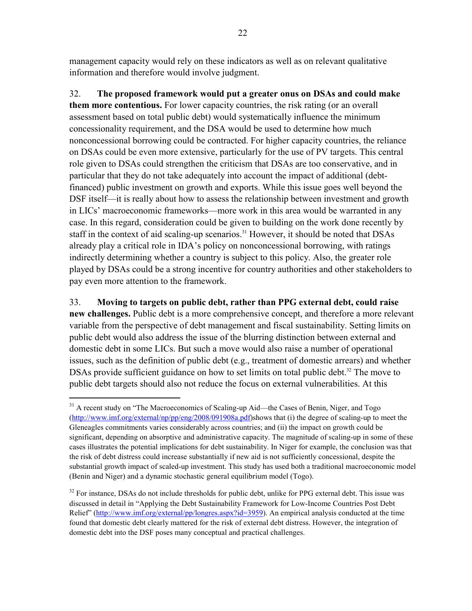management capacity would rely on these indicators as well as on relevant qualitative information and therefore would involve judgment.

32. **The proposed framework would put a greater onus on DSAs and could make them more contentious.** For lower capacity countries, the risk rating (or an overall assessment based on total public debt) would systematically influence the minimum concessionality requirement, and the DSA would be used to determine how much nonconcessional borrowing could be contracted. For higher capacity countries, the reliance on DSAs could be even more extensive, particularly for the use of PV targets. This central role given to DSAs could strengthen the criticism that DSAs are too conservative, and in particular that they do not take adequately into account the impact of additional (debtfinanced) public investment on growth and exports. While this issue goes well beyond the DSF itself—it is really about how to assess the relationship between investment and growth in LICs' macroeconomic frameworks—more work in this area would be warranted in any case. In this regard, consideration could be given to building on the work done recently by staff in the context of aid scaling-up scenarios.<sup>31</sup> However, it should be noted that DSAs already play a critical role in IDA's policy on nonconcessional borrowing, with ratings indirectly determining whether a country is subject to this policy. Also, the greater role played by DSAs could be a strong incentive for country authorities and other stakeholders to pay even more attention to the framework.

33. **Moving to targets on public debt, rather than PPG external debt, could raise new challenges.** Public debt is a more comprehensive concept, and therefore a more relevant variable from the perspective of debt management and fiscal sustainability. Setting limits on public debt would also address the issue of the blurring distinction between external and domestic debt in some LICs. But such a move would also raise a number of operational issues, such as the definition of public debt (e.g., treatment of domestic arrears) and whether DSAs provide sufficient guidance on how to set limits on total public debt.<sup>32</sup> The move to public debt targets should also not reduce the focus on external vulnerabilities. At this

 $31$  A recent study on "The Macroeconomics of Scaling-up Aid—the Cases of Benin, Niger, and Togo (http://www.imf.org/external/np/pp/eng/2008/091908a.pdf)shows that (i) the degree of scaling-up to meet the Gleneagles commitments varies considerably across countries; and (ii) the impact on growth could be significant, depending on absorptive and administrative capacity. The magnitude of scaling-up in some of these cases illustrates the potential implications for debt sustainability. In Niger for example, the conclusion was that the risk of debt distress could increase substantially if new aid is not sufficiently concessional, despite the substantial growth impact of scaled-up investment. This study has used both a traditional macroeconomic model (Benin and Niger) and a dynamic stochastic general equilibrium model (Togo).

<sup>&</sup>lt;sup>32</sup> For instance, DSAs do not include thresholds for public debt, unlike for PPG external debt. This issue was discussed in detail in "Applying the Debt Sustainability Framework for Low-Income Countries Post Debt Relief" (http://www.imf.org/external/pp/longres.aspx?id=3959). An empirical analysis conducted at the time found that domestic debt clearly mattered for the risk of external debt distress. However, the integration of domestic debt into the DSF poses many conceptual and practical challenges.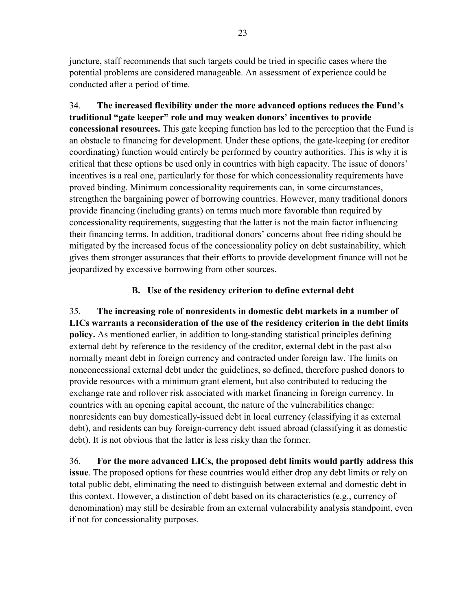juncture, staff recommends that such targets could be tried in specific cases where the potential problems are considered manageable. An assessment of experience could be conducted after a period of time.

34. **The increased flexibility under the more advanced options reduces the Fund's traditional "gate keeper" role and may weaken donors' incentives to provide concessional resources.** This gate keeping function has led to the perception that the Fund is an obstacle to financing for development. Under these options, the gate-keeping (or creditor coordinating) function would entirely be performed by country authorities. This is why it is critical that these options be used only in countries with high capacity. The issue of donors' incentives is a real one, particularly for those for which concessionality requirements have proved binding. Minimum concessionality requirements can, in some circumstances, strengthen the bargaining power of borrowing countries. However, many traditional donors provide financing (including grants) on terms much more favorable than required by concessionality requirements, suggesting that the latter is not the main factor influencing their financing terms. In addition, traditional donors' concerns about free riding should be mitigated by the increased focus of the concessionality policy on debt sustainability, which gives them stronger assurances that their efforts to provide development finance will not be jeopardized by excessive borrowing from other sources.

## **B. Use of the residency criterion to define external debt**

35. **The increasing role of nonresidents in domestic debt markets in a number of LICs warrants a reconsideration of the use of the residency criterion in the debt limits policy.** As mentioned earlier, in addition to long-standing statistical principles defining external debt by reference to the residency of the creditor, external debt in the past also normally meant debt in foreign currency and contracted under foreign law. The limits on nonconcessional external debt under the guidelines, so defined, therefore pushed donors to provide resources with a minimum grant element, but also contributed to reducing the exchange rate and rollover risk associated with market financing in foreign currency. In countries with an opening capital account, the nature of the vulnerabilities change: nonresidents can buy domestically-issued debt in local currency (classifying it as external debt), and residents can buy foreign-currency debt issued abroad (classifying it as domestic debt). It is not obvious that the latter is less risky than the former.

36. **For the more advanced LICs, the proposed debt limits would partly address this issue**. The proposed options for these countries would either drop any debt limits or rely on total public debt, eliminating the need to distinguish between external and domestic debt in this context. However, a distinction of debt based on its characteristics (e.g., currency of denomination) may still be desirable from an external vulnerability analysis standpoint, even if not for concessionality purposes.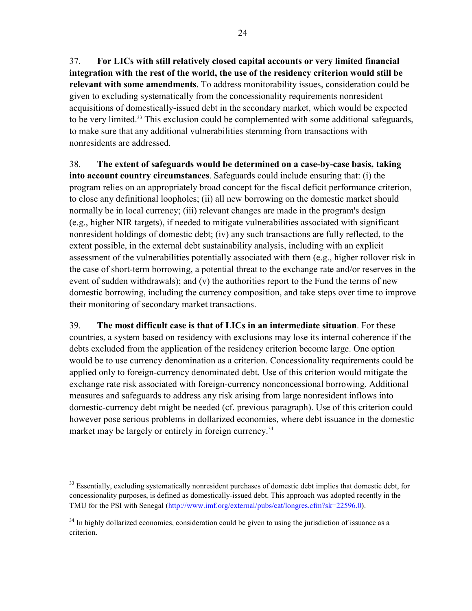37. **For LICs with still relatively closed capital accounts or very limited financial integration with the rest of the world, the use of the residency criterion would still be relevant with some amendments**. To address monitorability issues, consideration could be given to excluding systematically from the concessionality requirements nonresident acquisitions of domestically-issued debt in the secondary market, which would be expected to be very limited.33 This exclusion could be complemented with some additional safeguards, to make sure that any additional vulnerabilities stemming from transactions with nonresidents are addressed.

38. **The extent of safeguards would be determined on a case-by-case basis, taking into account country circumstances**. Safeguards could include ensuring that: (i) the program relies on an appropriately broad concept for the fiscal deficit performance criterion, to close any definitional loopholes; (ii) all new borrowing on the domestic market should normally be in local currency; (iii) relevant changes are made in the program's design (e.g., higher NIR targets), if needed to mitigate vulnerabilities associated with significant nonresident holdings of domestic debt; (iv) any such transactions are fully reflected, to the extent possible, in the external debt sustainability analysis, including with an explicit assessment of the vulnerabilities potentially associated with them (e.g., higher rollover risk in the case of short-term borrowing, a potential threat to the exchange rate and/or reserves in the event of sudden withdrawals); and (v) the authorities report to the Fund the terms of new domestic borrowing, including the currency composition, and take steps over time to improve their monitoring of secondary market transactions.

39. **The most difficult case is that of LICs in an intermediate situation**. For these countries, a system based on residency with exclusions may lose its internal coherence if the debts excluded from the application of the residency criterion become large. One option would be to use currency denomination as a criterion. Concessionality requirements could be applied only to foreign-currency denominated debt. Use of this criterion would mitigate the exchange rate risk associated with foreign-currency nonconcessional borrowing. Additional measures and safeguards to address any risk arising from large nonresident inflows into domestic-currency debt might be needed (cf. previous paragraph). Use of this criterion could however pose serious problems in dollarized economies, where debt issuance in the domestic market may be largely or entirely in foreign currency.<sup>34</sup>

<sup>&</sup>lt;sup>33</sup> Essentially, excluding systematically nonresident purchases of domestic debt implies that domestic debt, for concessionality purposes, is defined as domestically-issued debt. This approach was adopted recently in the TMU for the PSI with Senegal (http://www.imf.org/external/pubs/cat/longres.cfm?sk=22596.0).

<sup>&</sup>lt;sup>34</sup> In highly dollarized economies, consideration could be given to using the jurisdiction of issuance as a criterion.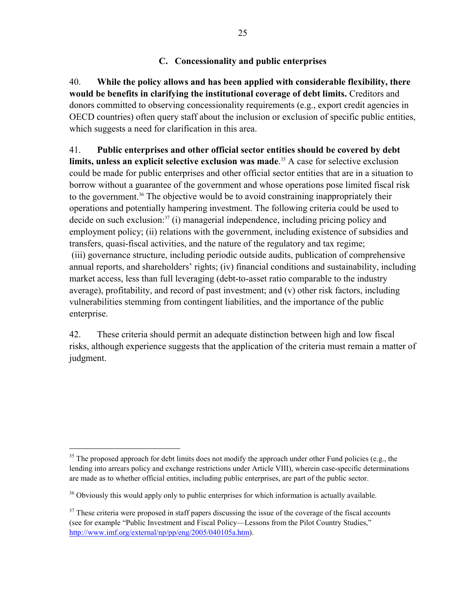#### **C. Concessionality and public enterprises**

40. **While the policy allows and has been applied with considerable flexibility, there would be benefits in clarifying the institutional coverage of debt limits.** Creditors and donors committed to observing concessionality requirements (e.g., export credit agencies in OECD countries) often query staff about the inclusion or exclusion of specific public entities, which suggests a need for clarification in this area.

41. **Public enterprises and other official sector entities should be covered by debt limits, unless an explicit selective exclusion was made**. 35 A case for selective exclusion could be made for public enterprises and other official sector entities that are in a situation to borrow without a guarantee of the government and whose operations pose limited fiscal risk to the government.<sup>36</sup> The objective would be to avoid constraining inappropriately their operations and potentially hampering investment. The following criteria could be used to decide on such exclusion: $37$  (i) managerial independence, including pricing policy and employment policy; (ii) relations with the government, including existence of subsidies and transfers, quasi-fiscal activities, and the nature of the regulatory and tax regime; (iii) governance structure, including periodic outside audits, publication of comprehensive annual reports, and shareholders' rights; (iv) financial conditions and sustainability, including market access, less than full leveraging (debt-to-asset ratio comparable to the industry average), profitability, and record of past investment; and (v) other risk factors, including vulnerabilities stemming from contingent liabilities, and the importance of the public enterprise.

42. These criteria should permit an adequate distinction between high and low fiscal risks, although experience suggests that the application of the criteria must remain a matter of judgment.

1

 $35$  The proposed approach for debt limits does not modify the approach under other Fund policies (e.g., the lending into arrears policy and exchange restrictions under Article VIII), wherein case-specific determinations are made as to whether official entities, including public enterprises, are part of the public sector.

 $36$  Obviously this would apply only to public enterprises for which information is actually available.

 $37$  These criteria were proposed in staff papers discussing the issue of the coverage of the fiscal accounts (see for example "Public Investment and Fiscal Policy—Lessons from the Pilot Country Studies," http://www.imf.org/external/np/pp/eng/2005/040105a.htm).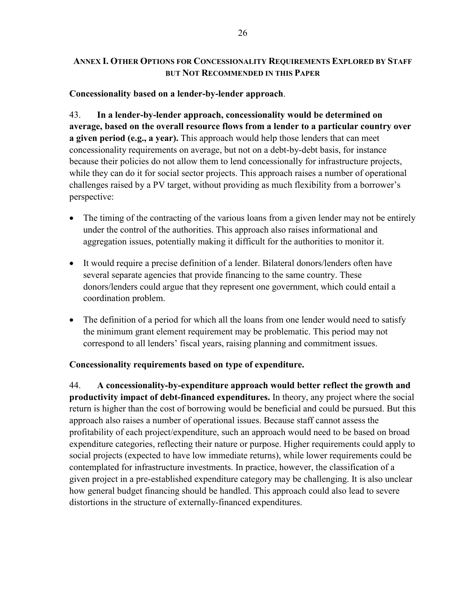### **ANNEX I. OTHER OPTIONS FOR CONCESSIONALITY REQUIREMENTS EXPLORED BY STAFF BUT NOT RECOMMENDED IN THIS PAPER**

### **Concessionality based on a lender-by-lender approach**.

43. **In a lender-by-lender approach, concessionality would be determined on average, based on the overall resource flows from a lender to a particular country over a given period (e.g., a year).** This approach would help those lenders that can meet concessionality requirements on average, but not on a debt-by-debt basis, for instance because their policies do not allow them to lend concessionally for infrastructure projects, while they can do it for social sector projects. This approach raises a number of operational challenges raised by a PV target, without providing as much flexibility from a borrower's perspective:

- The timing of the contracting of the various loans from a given lender may not be entirely under the control of the authorities. This approach also raises informational and aggregation issues, potentially making it difficult for the authorities to monitor it.
- It would require a precise definition of a lender. Bilateral donors/lenders often have several separate agencies that provide financing to the same country. These donors/lenders could argue that they represent one government, which could entail a coordination problem.
- The definition of a period for which all the loans from one lender would need to satisfy the minimum grant element requirement may be problematic. This period may not correspond to all lenders' fiscal years, raising planning and commitment issues.

## **Concessionality requirements based on type of expenditure.**

44. **A concessionality-by-expenditure approach would better reflect the growth and productivity impact of debt-financed expenditures.** In theory, any project where the social return is higher than the cost of borrowing would be beneficial and could be pursued. But this approach also raises a number of operational issues. Because staff cannot assess the profitability of each project/expenditure, such an approach would need to be based on broad expenditure categories, reflecting their nature or purpose. Higher requirements could apply to social projects (expected to have low immediate returns), while lower requirements could be contemplated for infrastructure investments. In practice, however, the classification of a given project in a pre-established expenditure category may be challenging. It is also unclear how general budget financing should be handled. This approach could also lead to severe distortions in the structure of externally-financed expenditures.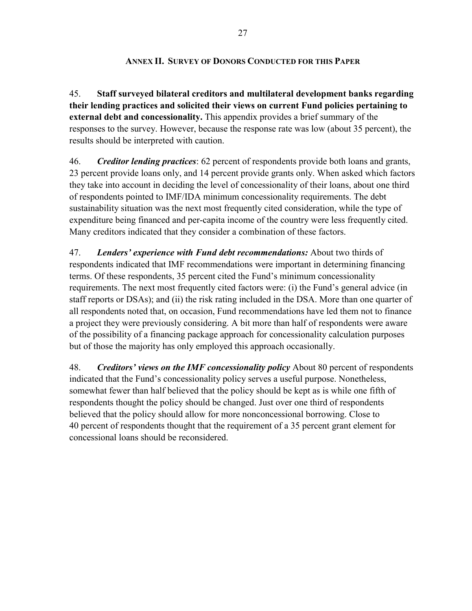#### **ANNEX II. SURVEY OF DONORS CONDUCTED FOR THIS PAPER**

45. **Staff surveyed bilateral creditors and multilateral development banks regarding their lending practices and solicited their views on current Fund policies pertaining to external debt and concessionality.** This appendix provides a brief summary of the responses to the survey. However, because the response rate was low (about 35 percent), the results should be interpreted with caution.

46. *Creditor lending practices*: 62 percent of respondents provide both loans and grants, 23 percent provide loans only, and 14 percent provide grants only. When asked which factors they take into account in deciding the level of concessionality of their loans, about one third of respondents pointed to IMF/IDA minimum concessionality requirements. The debt sustainability situation was the next most frequently cited consideration, while the type of expenditure being financed and per-capita income of the country were less frequently cited. Many creditors indicated that they consider a combination of these factors.

47. *Lenders' experience with Fund debt recommendations:* About two thirds of respondents indicated that IMF recommendations were important in determining financing terms. Of these respondents, 35 percent cited the Fund's minimum concessionality requirements. The next most frequently cited factors were: (i) the Fund's general advice (in staff reports or DSAs); and (ii) the risk rating included in the DSA. More than one quarter of all respondents noted that, on occasion, Fund recommendations have led them not to finance a project they were previously considering. A bit more than half of respondents were aware of the possibility of a financing package approach for concessionality calculation purposes but of those the majority has only employed this approach occasionally.

48. *Creditors' views on the IMF concessionality policy* About 80 percent of respondents indicated that the Fund's concessionality policy serves a useful purpose. Nonetheless, somewhat fewer than half believed that the policy should be kept as is while one fifth of respondents thought the policy should be changed. Just over one third of respondents believed that the policy should allow for more nonconcessional borrowing. Close to 40 percent of respondents thought that the requirement of a 35 percent grant element for concessional loans should be reconsidered.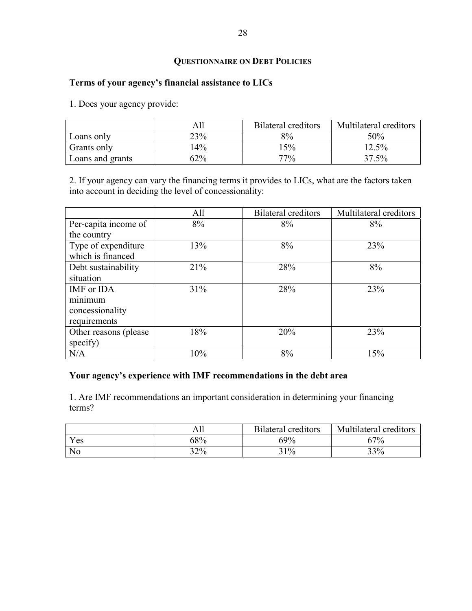## **QUESTIONNAIRE ON DEBT POLICIES**

### **Terms of your agency's financial assistance to LICs**

1. Does your agency provide:

|                  | All   | Bilateral creditors | Multilateral creditors |
|------------------|-------|---------------------|------------------------|
| Loans only       | 23%   | 8%                  | 50%                    |
| Grants only      | $4\%$ | 5%                  | $12.5\%$               |
| Loans and grants | 62%   | 77%                 | 37.5%                  |

2. If your agency can vary the financing terms it provides to LICs, what are the factors taken into account in deciding the level of concessionality:

|                        | All | <b>Bilateral creditors</b> | Multilateral creditors |
|------------------------|-----|----------------------------|------------------------|
| Per-capita income of   | 8%  | 8%                         | 8%                     |
| the country            |     |                            |                        |
| Type of expenditure    | 13% | 8%                         | 23%                    |
| which is financed      |     |                            |                        |
| Debt sustainability    | 21% | 28%                        | 8%                     |
| situation              |     |                            |                        |
| IMF or IDA             | 31% | 28%                        | 23%                    |
| minimum                |     |                            |                        |
| concessionality        |     |                            |                        |
| requirements           |     |                            |                        |
| Other reasons (please) | 18% | 20%                        | 23%                    |
| specify)               |     |                            |                        |
| N/A                    | 10% | 8%                         | 15%                    |

#### **Your agency's experience with IMF recommendations in the debt area**

1. Are IMF recommendations an important consideration in determining your financing terms?

|                | All | <b>Bilateral creditors</b> | Multilateral creditors |
|----------------|-----|----------------------------|------------------------|
| Yes            | 68% | 69%                        | $7\%$                  |
| N <sub>o</sub> | 32% | 31%                        | 33%                    |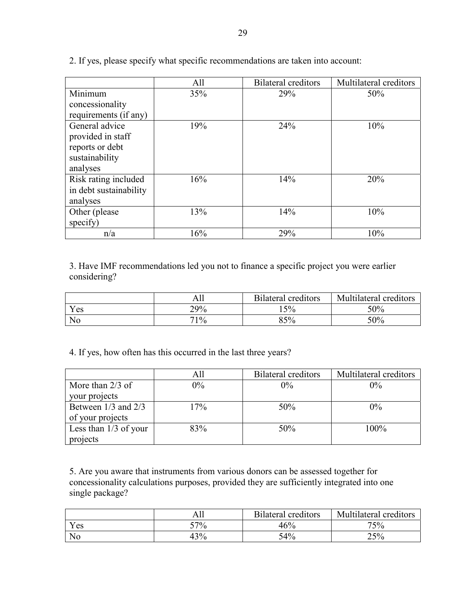|                        | All | <b>Bilateral creditors</b> | Multilateral creditors |
|------------------------|-----|----------------------------|------------------------|
| Minimum                | 35% | 29%                        | 50%                    |
| concessionality        |     |                            |                        |
| requirements (if any)  |     |                            |                        |
| General advice         | 19% | 24%                        | 10%                    |
| provided in staff      |     |                            |                        |
| reports or debt        |     |                            |                        |
| sustainability         |     |                            |                        |
| analyses               |     |                            |                        |
| Risk rating included   | 16% | 14%                        | 20%                    |
| in debt sustainability |     |                            |                        |
| analyses               |     |                            |                        |
| Other (please)         | 13% | 14%                        | 10%                    |
| specify)               |     |                            |                        |
| n/a                    | 16% | 29%                        | 10%                    |

2. If yes, please specify what specific recommendations are taken into account:

3. Have IMF recommendations led you not to finance a specific project you were earlier considering?

|                | Ali | <b>Bilateral creditors</b> | Multilateral<br>creditors <sup>'</sup> |
|----------------|-----|----------------------------|----------------------------------------|
| Yes            | 29% | 15%                        | 50%                                    |
| N <sub>o</sub> | 71% | 85%                        | 50%                                    |

4. If yes, how often has this occurred in the last three years?

|                         | All   | <b>Bilateral creditors</b> | Multilateral creditors |
|-------------------------|-------|----------------------------|------------------------|
| More than $2/3$ of      | $0\%$ | $0\%$                      | $0\%$                  |
| your projects           |       |                            |                        |
| Between $1/3$ and $2/3$ | 17%   | 50%                        | $0\%$                  |
| of your projects        |       |                            |                        |
| Less than $1/3$ of your | 83%   | 50%                        | 100%                   |
| projects                |       |                            |                        |

5. Are you aware that instruments from various donors can be assessed together for concessionality calculations purposes, provided they are sufficiently integrated into one single package?

|                | Ah  | <b>Bilateral creditors</b> | Multilateral creditors |
|----------------|-----|----------------------------|------------------------|
| Yes            | 57% | 46%                        | 75%                    |
| N <sub>o</sub> | 43% | 54%                        | 25%                    |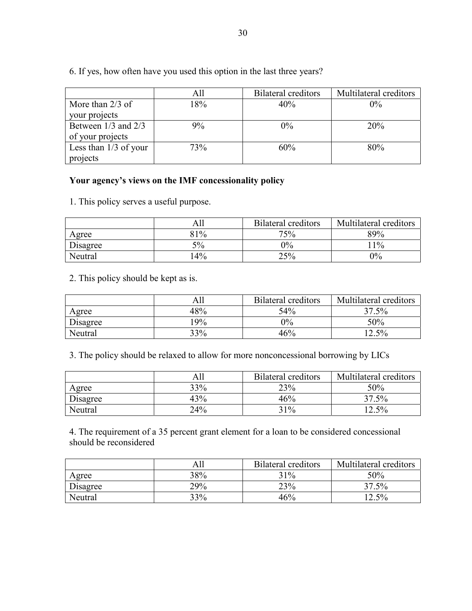6. If yes, how often have you used this option in the last three years?

|                         | All | <b>Bilateral creditors</b> | Multilateral creditors |
|-------------------------|-----|----------------------------|------------------------|
| More than $2/3$ of      | 18% | 40%                        | $0\%$                  |
| your projects           |     |                            |                        |
| Between 1/3 and 2/3     | 9%  | $0\%$                      | 20%                    |
| of your projects        |     |                            |                        |
| Less than $1/3$ of your | 73% | 60%                        | 80%                    |
| projects                |     |                            |                        |

#### **Your agency's views on the IMF concessionality policy**

1. This policy serves a useful purpose.

|          | All   | <b>Bilateral creditors</b> | Multilateral creditors |
|----------|-------|----------------------------|------------------------|
| Agree    | 81%   | 75%                        | 89%                    |
| Disagree | 5%    | $0\%$                      | $1\%$                  |
| Neutral  | $4\%$ | 25%                        | $0\%$                  |

2. This policy should be kept as is.

|          | All   | <b>Bilateral creditors</b> | Multilateral creditors |
|----------|-------|----------------------------|------------------------|
| Agree    | 48%   | 54%                        | $37.5\%$               |
| Disagree | $9\%$ | $0\%$                      | 50%                    |
| Neutral  | 33%   | 46%                        | $12.5\%$               |

3. The policy should be relaxed to allow for more nonconcessional borrowing by LICs

|          | All | Bilateral creditors | Multilateral creditors |
|----------|-----|---------------------|------------------------|
| Agree    | 33% | 23%                 | 50%                    |
| Disagree | 43% | 46%                 | 37.5%                  |
| Neutral  | 24% | 31%                 | $12.5\%$               |

4. The requirement of a 35 percent grant element for a loan to be considered concessional should be reconsidered

|          | All | Bilateral creditors | Multilateral creditors |
|----------|-----|---------------------|------------------------|
| Agree    | 38% | 31%                 | 50%                    |
| Disagree | 29% | 23%                 | 37.5%                  |
| Neutral  | 33% | 46%                 | $12.5\%$               |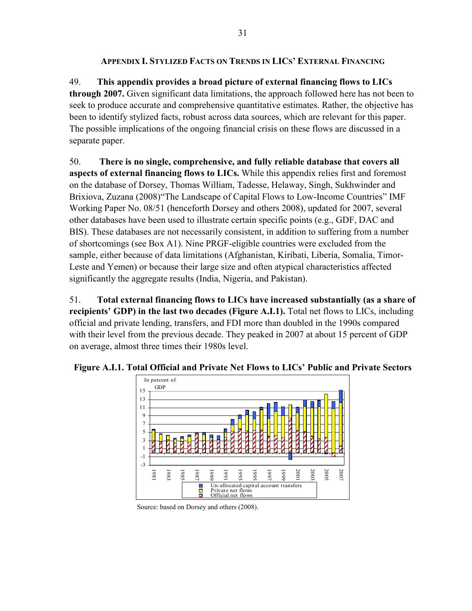#### **APPENDIX I. STYLIZED FACTS ON TRENDS IN LICS' EXTERNAL FINANCING**

49. **This appendix provides a broad picture of external financing flows to LICs through 2007.** Given significant data limitations, the approach followed here has not been to seek to produce accurate and comprehensive quantitative estimates. Rather, the objective has been to identify stylized facts, robust across data sources, which are relevant for this paper. The possible implications of the ongoing financial crisis on these flows are discussed in a separate paper.

50. **There is no single, comprehensive, and fully reliable database that covers all aspects of external financing flows to LICs.** While this appendix relies first and foremost on the database of Dorsey, Thomas William, Tadesse, Helaway, Singh, Sukhwinder and Brixiova, Zuzana (2008)"The Landscape of Capital Flows to Low-Income Countries" IMF Working Paper No. 08/51 (henceforth Dorsey and others 2008), updated for 2007, several other databases have been used to illustrate certain specific points (e.g., GDF, DAC and BIS). These databases are not necessarily consistent, in addition to suffering from a number of shortcomings (see Box A1). Nine PRGF-eligible countries were excluded from the sample, either because of data limitations (Afghanistan, Kiribati, Liberia, Somalia, Timor-Leste and Yemen) or because their large size and often atypical characteristics affected significantly the aggregate results (India, Nigeria, and Pakistan).

51. **Total external financing flows to LICs have increased substantially (as a share of recipients' GDP) in the last two decades (Figure A.I.1).** Total net flows to LICs, including official and private lending, transfers, and FDI more than doubled in the 1990s compared with their level from the previous decade. They peaked in 2007 at about 15 percent of GDP on average, almost three times their 1980s level.



**Figure A.I.1. Total Official and Private Net Flows to LICs' Public and Private Sectors** 

Source: based on Dorsey and others (2008).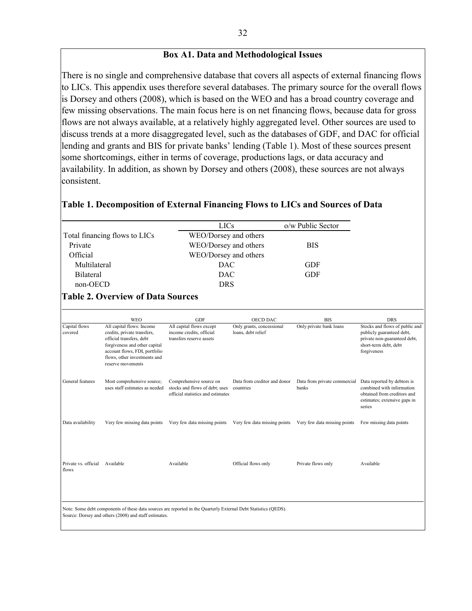#### **Box A1. Data and Methodological Issues**

There is no single and comprehensive database that covers all aspects of external financing flows to LICs. This appendix uses therefore several databases. The primary source for the overall flows is Dorsey and others (2008), which is based on the WEO and has a broad country coverage and few missing observations. The main focus here is on net financing flows, because data for gross flows are not always available, at a relatively highly aggregated level. Other sources are used to discuss trends at a more disaggregated level, such as the databases of GDF, and DAC for official lending and grants and BIS for private banks' lending (Table 1). Most of these sources present some shortcomings, either in terms of coverage, productions lags, or data accuracy and availability. In addition, as shown by Dorsey and others (2008), these sources are not always consistent.

#### **Table 1. Decomposition of External Financing Flows to LICs and Sources of Data**

|                          |                                                                                                                                                                                        |                                                                                  | <b>LICs</b>                                     | o/w Public Sector       |                                                                                                                                     |
|--------------------------|----------------------------------------------------------------------------------------------------------------------------------------------------------------------------------------|----------------------------------------------------------------------------------|-------------------------------------------------|-------------------------|-------------------------------------------------------------------------------------------------------------------------------------|
|                          | Total financing flows to LICs                                                                                                                                                          |                                                                                  | WEO/Dorsey and others                           |                         |                                                                                                                                     |
| Private                  |                                                                                                                                                                                        |                                                                                  | WEO/Dorsey and others                           | <b>BIS</b>              |                                                                                                                                     |
| Official                 |                                                                                                                                                                                        |                                                                                  | WEO/Dorsey and others                           |                         |                                                                                                                                     |
| Multilateral             |                                                                                                                                                                                        |                                                                                  | <b>DAC</b>                                      | <b>GDF</b>              |                                                                                                                                     |
| <b>Bilateral</b>         |                                                                                                                                                                                        |                                                                                  | <b>DAC</b>                                      | <b>GDF</b>              |                                                                                                                                     |
| non-OECD                 |                                                                                                                                                                                        |                                                                                  | <b>DRS</b>                                      |                         |                                                                                                                                     |
|                          | <b>Table 2. Overview of Data Sources</b>                                                                                                                                               |                                                                                  |                                                 |                         |                                                                                                                                     |
|                          |                                                                                                                                                                                        |                                                                                  |                                                 |                         |                                                                                                                                     |
|                          | <b>WEO</b>                                                                                                                                                                             | <b>GDF</b>                                                                       | <b>OECD DAC</b>                                 | <b>BIS</b>              | <b>DRS</b>                                                                                                                          |
| Capital flows<br>covered | All capital flows: Income<br>credits, private transfers,<br>official transfers, debt<br>forgiveness and other capital<br>account flows, FDI, portfolio<br>flows, other investments and | All capital flows except<br>income credits, official<br>transfers reserve assets | Only grants, concessional<br>loans, debt relief | Only private bank loans | Stocks and flows of public and<br>publicly guaranteed debt,<br>private non-guaranteed debt,<br>short-term debt, debt<br>forgiveness |

|                               | reserve movements                                            |                                                                                                                 |                                           |                                       |                                                                                                                                   |
|-------------------------------|--------------------------------------------------------------|-----------------------------------------------------------------------------------------------------------------|-------------------------------------------|---------------------------------------|-----------------------------------------------------------------------------------------------------------------------------------|
| General features              | Most comprehensive source;<br>uses staff estimates as needed | Comprehensive source on<br>stocks and flows of debt; uses<br>official statistics and estimates                  | Data from creditor and donor<br>countries | Data from private commercial<br>banks | Data reported by debtors is<br>combined with information<br>obtained from creditors and<br>estimates; extensive gaps in<br>series |
| Data availability             | Very few missing data points                                 | Very few data missing points                                                                                    | Very few data missing points              | Very few data missing points          | Few missing data points                                                                                                           |
|                               |                                                              |                                                                                                                 |                                           |                                       |                                                                                                                                   |
| Private vs. official<br>flows | Available                                                    | Available                                                                                                       | Official flows only                       | Private flows only                    | Available                                                                                                                         |
|                               |                                                              |                                                                                                                 |                                           |                                       |                                                                                                                                   |
|                               | Source: Dorsey and others (2008) and staff estimates.        | Note: Some debt components of these data sources are reported in the Quarterly External Debt Statistics (QEDS). |                                           |                                       |                                                                                                                                   |
|                               |                                                              |                                                                                                                 |                                           |                                       |                                                                                                                                   |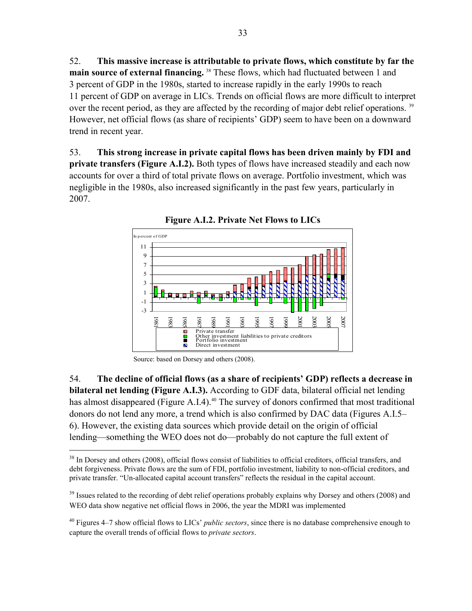52. **This massive increase is attributable to private flows, which constitute by far the**  main source of external financing.<sup>38</sup> These flows, which had fluctuated between 1 and 3 percent of GDP in the 1980s, started to increase rapidly in the early 1990s to reach 11 percent of GDP on average in LICs. Trends on official flows are more difficult to interpret over the recent period, as they are affected by the recording of major debt relief operations.<sup>39</sup> However, net official flows (as share of recipients' GDP) seem to have been on a downward trend in recent year.

53. **This strong increase in private capital flows has been driven mainly by FDI and private transfers (Figure A.I.2).** Both types of flows have increased steadily and each now accounts for over a third of total private flows on average. Portfolio investment, which was negligible in the 1980s, also increased significantly in the past few years, particularly in 2007.



**Figure A.I.2. Private Net Flows to LICs** 

Source: based on Dorsey and others (2008).

 $\overline{a}$ 

54. **The decline of official flows (as a share of recipients' GDP) reflects a decrease in bilateral net lending (Figure A.I.3).** According to GDF data, bilateral official net lending has almost disappeared (Figure A.I.4).<sup>40</sup> The survey of donors confirmed that most traditional donors do not lend any more, a trend which is also confirmed by DAC data (Figures A.I.5– 6). However, the existing data sources which provide detail on the origin of official lending—something the WEO does not do—probably do not capture the full extent of

<sup>&</sup>lt;sup>38</sup> In Dorsey and others (2008), official flows consist of liabilities to official creditors, official transfers, and debt forgiveness. Private flows are the sum of FDI, portfolio investment, liability to non-official creditors, and private transfer. "Un-allocated capital account transfers" reflects the residual in the capital account.

 $39$  Issues related to the recording of debt relief operations probably explains why Dorsey and others (2008) and WEO data show negative net official flows in 2006, the year the MDRI was implemented

<sup>40</sup> Figures 4–7 show official flows to LICs' *public sectors*, since there is no database comprehensive enough to capture the overall trends of official flows to *private sectors*.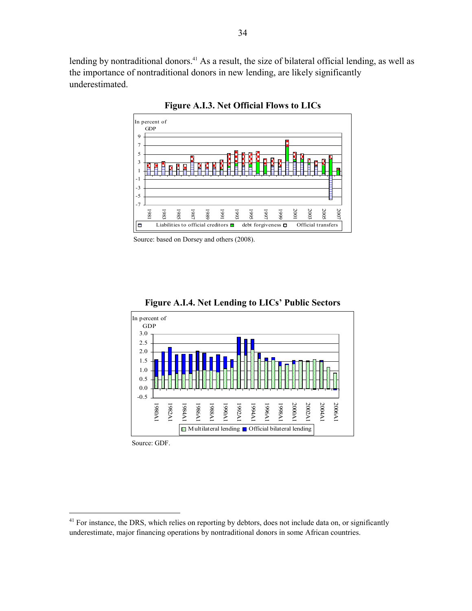lending by nontraditional donors.<sup>41</sup> As a result, the size of bilateral official lending, as well as the importance of nontraditional donors in new lending, are likely significantly underestimated.



**Figure A.I.3. Net Official Flows to LICs** 

Source: based on Dorsey and others (2008).



**Figure A.I.4. Net Lending to LICs' Public Sectors** 

Source: GDF.

 $41$  For instance, the DRS, which relies on reporting by debtors, does not include data on, or significantly underestimate, major financing operations by nontraditional donors in some African countries.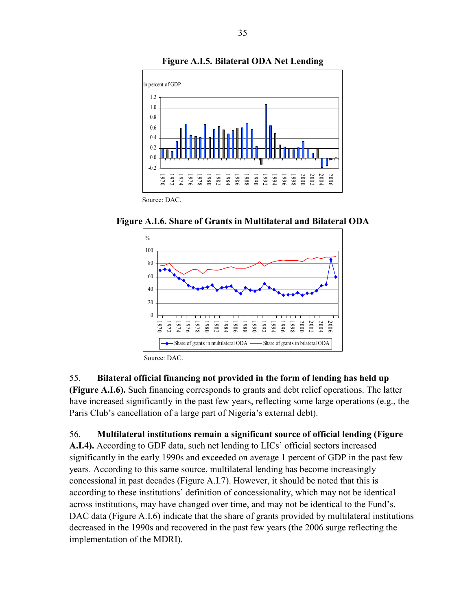

**Figure A.I.5. Bilateral ODA Net Lending**

**Figure A.I.6. Share of Grants in Multilateral and Bilateral ODA**



Source: DAC.

#### 55. **Bilateral official financing not provided in the form of lending has held up**

**(Figure A.I.6).** Such financing corresponds to grants and debt relief operations. The latter have increased significantly in the past few years, reflecting some large operations (e.g., the Paris Club's cancellation of a large part of Nigeria's external debt).

56. **Multilateral institutions remain a significant source of official lending (Figure A.I.4).** According to GDF data, such net lending to LICs' official sectors increased significantly in the early 1990s and exceeded on average 1 percent of GDP in the past few years. According to this same source, multilateral lending has become increasingly concessional in past decades (Figure A.I.7). However, it should be noted that this is according to these institutions' definition of concessionality, which may not be identical across institutions, may have changed over time, and may not be identical to the Fund's. DAC data (Figure A.I.6) indicate that the share of grants provided by multilateral institutions decreased in the 1990s and recovered in the past few years (the 2006 surge reflecting the implementation of the MDRI).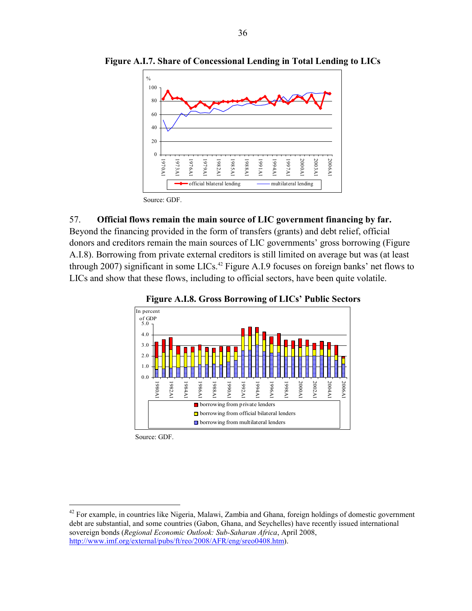

**Figure A.I.7. Share of Concessional Lending in Total Lending to LICs**

Source: GDF.

#### 57. **Official flows remain the main source of LIC government financing by far.**

Beyond the financing provided in the form of transfers (grants) and debt relief, official donors and creditors remain the main sources of LIC governments' gross borrowing (Figure A.I.8). Borrowing from private external creditors is still limited on average but was (at least through 2007) significant in some LICs.<sup>42</sup> Figure A.I.9 focuses on foreign banks' net flows to LICs and show that these flows, including to official sectors, have been quite volatile.



**Figure A.I.8. Gross Borrowing of LICs' Public Sectors** 

Source: GDF.

<sup>&</sup>lt;sup>42</sup> For example, in countries like Nigeria, Malawi, Zambia and Ghana, foreign holdings of domestic government debt are substantial, and some countries (Gabon, Ghana, and Seychelles) have recently issued international sovereign bonds (*Regional Economic Outlook: Sub-Saharan Africa*, April 2008, http://www.imf.org/external/pubs/ft/reo/2008/AFR/eng/sreo0408.htm).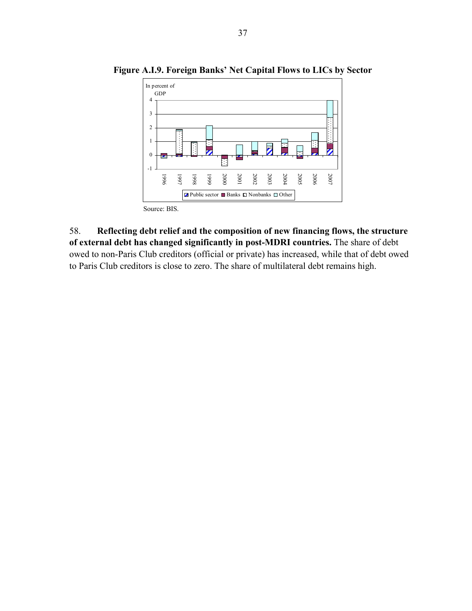

**Figure A.I.9. Foreign Banks' Net Capital Flows to LICs by Sector** 

58. **Reflecting debt relief and the composition of new financing flows, the structure of external debt has changed significantly in post-MDRI countries.** The share of debt owed to non-Paris Club creditors (official or private) has increased, while that of debt owed to Paris Club creditors is close to zero. The share of multilateral debt remains high.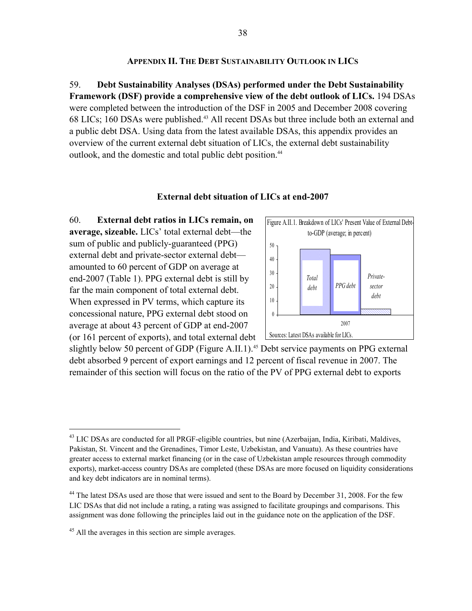#### **APPENDIX II. THE DEBT SUSTAINABILITY OUTLOOK IN LICS**

59. **Debt Sustainability Analyses (DSAs) performed under the Debt Sustainability Framework (DSF) provide a comprehensive view of the debt outlook of LICs.** 194 DSAs were completed between the introduction of the DSF in 2005 and December 2008 covering 68 LICs; 160 DSAs were published.43 All recent DSAs but three include both an external and a public debt DSA. Using data from the latest available DSAs, this appendix provides an overview of the current external debt situation of LICs, the external debt sustainability outlook, and the domestic and total public debt position.<sup>44</sup>

#### **External debt situation of LICs at end-2007**

60. **External debt ratios in LICs remain, on average, sizeable.** LICs' total external debt—the sum of public and publicly-guaranteed (PPG) external debt and private-sector external debt amounted to 60 percent of GDP on average at end-2007 (Table 1). PPG external debt is still by far the main component of total external debt. When expressed in PV terms, which capture its concessional nature, PPG external debt stood on average at about 43 percent of GDP at end-2007 (or 161 percent of exports), and total external debt



slightly below 50 percent of GDP (Figure A.II.1).<sup>45</sup> Debt service payments on PPG external debt absorbed 9 percent of export earnings and 12 percent of fiscal revenue in 2007. The remainder of this section will focus on the ratio of the PV of PPG external debt to exports

<sup>&</sup>lt;sup>43</sup> LIC DSAs are conducted for all PRGF-eligible countries, but nine (Azerbaijan, India, Kiribati, Maldives, Pakistan, St. Vincent and the Grenadines, Timor Leste, Uzbekistan, and Vanuatu). As these countries have greater access to external market financing (or in the case of Uzbekistan ample resources through commodity exports), market-access country DSAs are completed (these DSAs are more focused on liquidity considerations and key debt indicators are in nominal terms).

<sup>&</sup>lt;sup>44</sup> The latest DSAs used are those that were issued and sent to the Board by December 31, 2008. For the few LIC DSAs that did not include a rating, a rating was assigned to facilitate groupings and comparisons. This assignment was done following the principles laid out in the guidance note on the application of the DSF.

<sup>&</sup>lt;sup>45</sup> All the averages in this section are simple averages.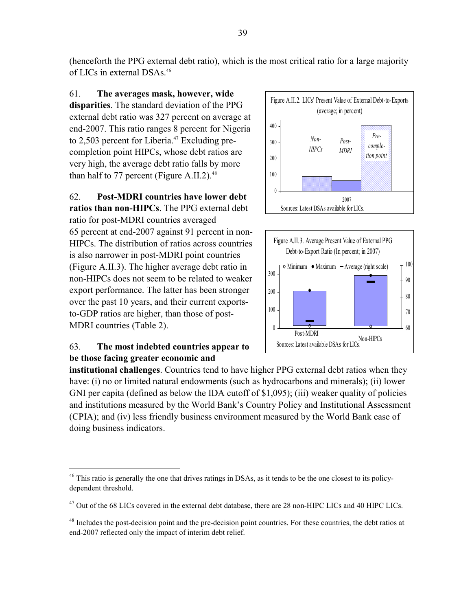(henceforth the PPG external debt ratio), which is the most critical ratio for a large majority of LICs in external DSAs.46

61. **The averages mask, however, wide disparities**. The standard deviation of the PPG external debt ratio was 327 percent on average at end-2007. This ratio ranges 8 percent for Nigeria to 2,503 percent for Liberia. $47$  Excluding precompletion point HIPCs, whose debt ratios are very high, the average debt ratio falls by more than half to 77 percent (Figure A.II.2). $48$ 

62. **Post-MDRI countries have lower debt ratios than non-HIPCs**. The PPG external debt ratio for post-MDRI countries averaged 65 percent at end-2007 against 91 percent in non-HIPCs. The distribution of ratios across countries is also narrower in post-MDRI point countries (Figure A.II.3). The higher average debt ratio in non-HIPCs does not seem to be related to weaker export performance. The latter has been stronger over the past 10 years, and their current exportsto-GDP ratios are higher, than those of post-MDRI countries (Table 2).

## 63. **The most indebted countries appear to be those facing greater economic and**

1





**institutional challenges**. Countries tend to have higher PPG external debt ratios when they have: (i) no or limited natural endowments (such as hydrocarbons and minerals); (ii) lower GNI per capita (defined as below the IDA cutoff of \$1,095); (iii) weaker quality of policies and institutions measured by the World Bank's Country Policy and Institutional Assessment (CPIA); and (iv) less friendly business environment measured by the World Bank ease of doing business indicators.

 $46$  This ratio is generally the one that drives ratings in DSAs, as it tends to be the one closest to its policydependent threshold.

<sup>&</sup>lt;sup>47</sup> Out of the 68 LICs covered in the external debt database, there are 28 non-HIPC LICs and 40 HIPC LICs.

<sup>&</sup>lt;sup>48</sup> Includes the post-decision point and the pre-decision point countries. For these countries, the debt ratios at end-2007 reflected only the impact of interim debt relief.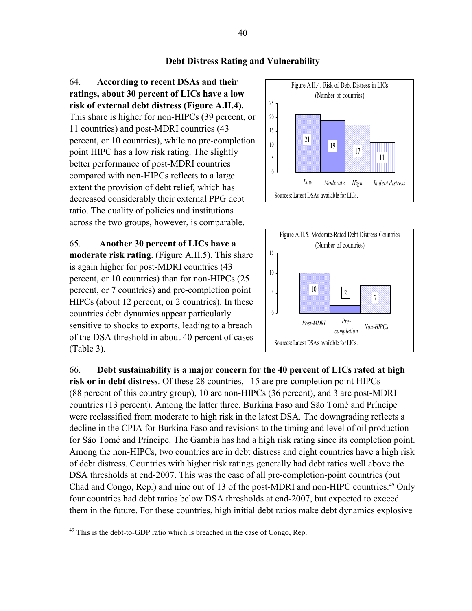#### **Debt Distress Rating and Vulnerability**

64. **According to recent DSAs and their ratings, about 30 percent of LICs have a low risk of external debt distress (Figure A.II.4).** This share is higher for non-HIPCs (39 percent, or 11 countries) and post-MDRI countries (43 percent, or 10 countries), while no pre-completion point HIPC has a low risk rating. The slightly better performance of post-MDRI countries compared with non-HIPCs reflects to a large extent the provision of debt relief, which has decreased considerably their external PPG debt ratio. The quality of policies and institutions across the two groups, however, is comparable.

65. **Another 30 percent of LICs have a moderate risk rating**. (Figure A.II.5). This share is again higher for post-MDRI countries (43 percent, or 10 countries) than for non-HIPCs (25 percent, or 7 countries) and pre-completion point HIPCs (about 12 percent, or 2 countries). In these countries debt dynamics appear particularly sensitive to shocks to exports, leading to a breach of the DSA threshold in about 40 percent of cases (Table 3).





66. **Debt sustainability is a major concern for the 40 percent of LICs rated at high risk or in debt distress**. Of these 28 countries, 15 are pre-completion point HIPCs (88 percent of this country group), 10 are non-HIPCs (36 percent), and 3 are post-MDRI countries (13 percent). Among the latter three, Burkina Faso and São Tomé and Príncipe were reclassified from moderate to high risk in the latest DSA. The downgrading reflects a decline in the CPIA for Burkina Faso and revisions to the timing and level of oil production for São Tomé and Príncipe. The Gambia has had a high risk rating since its completion point. Among the non-HIPCs, two countries are in debt distress and eight countries have a high risk of debt distress. Countries with higher risk ratings generally had debt ratios well above the DSA thresholds at end-2007. This was the case of all pre-completion-point countries (but Chad and Congo, Rep.) and nine out of 13 of the post-MDRI and non-HIPC countries.<sup>49</sup> Only four countries had debt ratios below DSA thresholds at end-2007, but expected to exceed them in the future. For these countries, high initial debt ratios make debt dynamics explosive

1

 $49$  This is the debt-to-GDP ratio which is breached in the case of Congo, Rep.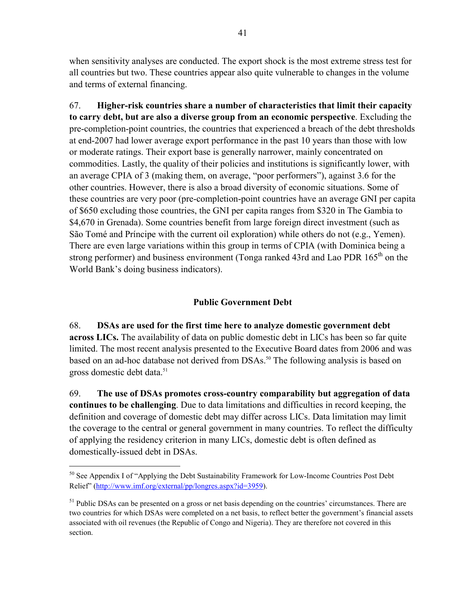when sensitivity analyses are conducted. The export shock is the most extreme stress test for all countries but two. These countries appear also quite vulnerable to changes in the volume and terms of external financing.

67. **Higher-risk countries share a number of characteristics that limit their capacity to carry debt, but are also a diverse group from an economic perspective**. Excluding the pre-completion-point countries, the countries that experienced a breach of the debt thresholds at end-2007 had lower average export performance in the past 10 years than those with low or moderate ratings. Their export base is generally narrower, mainly concentrated on commodities. Lastly, the quality of their policies and institutions is significantly lower, with an average CPIA of 3 (making them, on average, "poor performers"), against 3.6 for the other countries. However, there is also a broad diversity of economic situations. Some of these countries are very poor (pre-completion-point countries have an average GNI per capita of \$650 excluding those countries, the GNI per capita ranges from \$320 in The Gambia to \$4,670 in Grenada). Some countries benefit from large foreign direct investment (such as São Tomé and Príncipe with the current oil exploration) while others do not (e.g., Yemen). There are even large variations within this group in terms of CPIA (with Dominica being a strong performer) and business environment (Tonga ranked 43rd and Lao PDR 165<sup>th</sup> on the World Bank's doing business indicators).

#### **Public Government Debt**

68. **DSAs are used for the first time here to analyze domestic government debt across LICs.** The availability of data on public domestic debt in LICs has been so far quite limited. The most recent analysis presented to the Executive Board dates from 2006 and was based on an ad-hoc database not derived from DSAs.<sup>50</sup> The following analysis is based on gross domestic debt data.<sup>51</sup>

69. **The use of DSAs promotes cross-country comparability but aggregation of data continues to be challenging**. Due to data limitations and difficulties in record keeping, the definition and coverage of domestic debt may differ across LICs. Data limitation may limit the coverage to the central or general government in many countries. To reflect the difficulty of applying the residency criterion in many LICs, domestic debt is often defined as domestically-issued debt in DSAs.

<sup>&</sup>lt;sup>50</sup> See Appendix I of "Applying the Debt Sustainability Framework for Low-Income Countries Post Debt Relief" (http://www.imf.org/external/pp/longres.aspx?id=3959).

 $<sup>51</sup>$  Public DSAs can be presented on a gross or net basis depending on the countries' circumstances. There are</sup> two countries for which DSAs were completed on a net basis, to reflect better the government's financial assets associated with oil revenues (the Republic of Congo and Nigeria). They are therefore not covered in this section.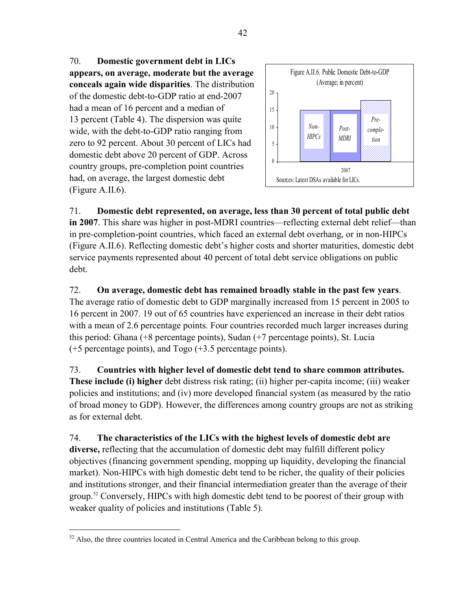70. **Domestic government debt in LICs appears, on average, moderate but the average conceals again wide disparities**. The distribution of the domestic debt-to-GDP ratio at end-2007 had a mean of 16 percent and a median of 13 percent (Table 4). The dispersion was quite wide, with the debt-to-GDP ratio ranging from zero to 92 percent. About 30 percent of LICs had domestic debt above 20 percent of GDP. Across country groups, pre-completion point countries had, on average, the largest domestic debt (Figure A.II.6).



71. **Domestic debt represented, on average, less than 30 percent of total public debt in 2007**. This share was higher in post-MDRI countries—reflecting external debt relief—than in pre-completion-point countries, which faced an external debt overhang, or in non-HIPCs (Figure A.II.6). Reflecting domestic debt's higher costs and shorter maturities, domestic debt service payments represented about 40 percent of total debt service obligations on public debt.

72. **On average, domestic debt has remained broadly stable in the past few years**. The average ratio of domestic debt to GDP marginally increased from 15 percent in 2005 to 16 percent in 2007. 19 out of 65 countries have experienced an increase in their debt ratios with a mean of 2.6 percentage points. Four countries recorded much larger increases during this period: Ghana (+8 percentage points), Sudan (+7 percentage points), St. Lucia (+5 percentage points), and Togo (+3.5 percentage points).

73. **Countries with higher level of domestic debt tend to share common attributes. These include (i) higher** debt distress risk rating; (ii) higher per-capita income; (iii) weaker policies and institutions; and (iv) more developed financial system (as measured by the ratio of broad money to GDP). However, the differences among country groups are not as striking as for external debt.

74. **The characteristics of the LICs with the highest levels of domestic debt are diverse,** reflecting that the accumulation of domestic debt may fulfill different policy objectives (financing government spending, mopping up liquidity, developing the financial market). Non-HIPCs with high domestic debt tend to be richer, the quality of their policies and institutions stronger, and their financial intermediation greater than the average of their group.<sup>52</sup> Conversely, HIPCs with high domestic debt tend to be poorest of their group with weaker quality of policies and institutions (Table 5).

1

 $52$  Also, the three countries located in Central America and the Caribbean belong to this group.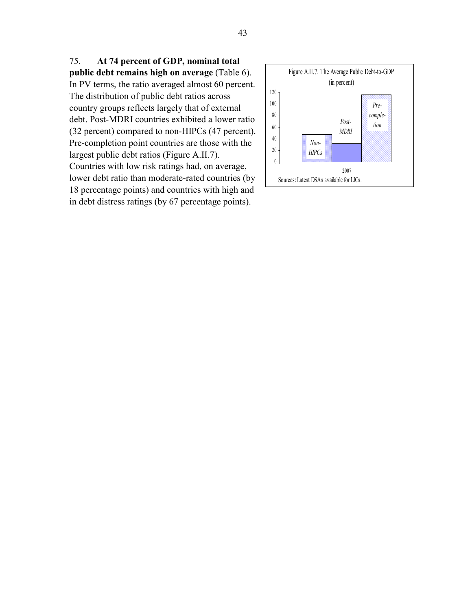75. **At 74 percent of GDP, nominal total public debt remains high on average** (Table 6). In PV terms, the ratio averaged almost 60 percent. The distribution of public debt ratios across country groups reflects largely that of external debt. Post-MDRI countries exhibited a lower ratio (32 percent) compared to non-HIPCs (47 percent). Pre-completion point countries are those with the largest public debt ratios (Figure A.II.7). Countries with low risk ratings had, on average, lower debt ratio than moderate-rated countries (by 18 percentage points) and countries with high and in debt distress ratings (by 67 percentage points).

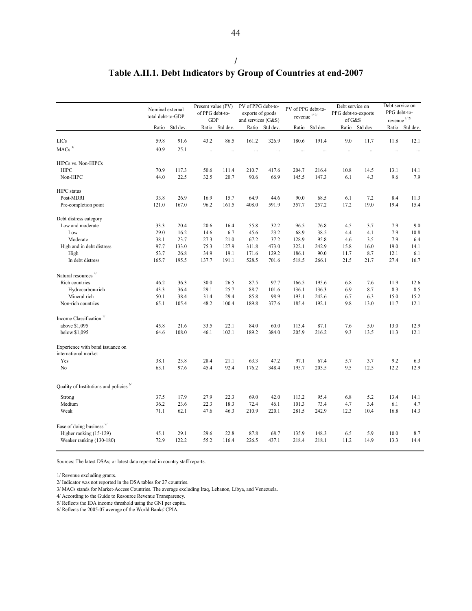|                                                          | Nominal external<br>total debt-to-GDP |          | Present value (PV)<br>of PPG debt-to-<br><b>GDP</b> |          | PV of PPG debt-to-<br>exports of goods<br>and services (G&S) |           | PV of PPG debt-to-<br>revenue $1/2/$ |          | Debt service on<br>PPG debt-to-exports<br>of G&S |          | Debt service on<br>PPG debt-to-<br>revenue $1/2/$ |          |
|----------------------------------------------------------|---------------------------------------|----------|-----------------------------------------------------|----------|--------------------------------------------------------------|-----------|--------------------------------------|----------|--------------------------------------------------|----------|---------------------------------------------------|----------|
|                                                          | Ratio                                 | Std dev. | Ratio                                               | Std dev. | Ratio                                                        | Std dev.  | Ratio                                | Std dev. | Ratio                                            | Std dev. | Ratio                                             | Std dev. |
| LICs                                                     | 59.8                                  | 91.6     | 43.2                                                | 86.5     | 161.2                                                        | 326.9     | 180.6                                | 191.4    | 9.0                                              | 11.7     | 11.8                                              | 12.1     |
|                                                          |                                       |          |                                                     |          |                                                              |           |                                      |          |                                                  |          |                                                   |          |
| $\mbox{MACs}$ $^{3\prime}$                               | 40.9                                  | 25.1     |                                                     | $\cdots$ |                                                              | $\ddotsc$ | $\cdots$                             |          |                                                  |          | $\cdots$                                          | $\ddots$ |
| HIPCs vs. Non-HIPCs                                      |                                       |          |                                                     |          |                                                              |           |                                      |          |                                                  |          |                                                   |          |
| <b>HIPC</b>                                              | 70.9                                  | 117.3    | 50.6                                                | 111.4    | 210.7                                                        | 417.6     | 204.7                                | 216.4    | 10.8                                             | 14.5     | 13.1                                              | 14.1     |
| Non-HIPC                                                 | 44.0                                  | 22.5     | 32.5                                                | 20.7     | 90.6                                                         | 66.9      | 145.5                                | 147.3    | 6.1                                              | 4.3      | 9.6                                               | 7.9      |
| <b>HIPC</b> status                                       |                                       |          |                                                     |          |                                                              |           |                                      |          |                                                  |          |                                                   |          |
| Post-MDRI                                                | 33.8                                  | 26.9     | 16.9                                                | 15.7     | 64.9                                                         | 44.6      | 90.0                                 | 68.5     | 6.1                                              | 7.2      | 8.4                                               | 11.3     |
| Pre-completion point                                     | 121.0                                 | 167.0    | 96.2                                                | 161.5    | 408.0                                                        | 591.9     | 357.7                                | 257.2    | 17.2                                             | 19.0     | 19.4                                              | 15.4     |
|                                                          |                                       |          |                                                     |          |                                                              |           |                                      |          |                                                  |          |                                                   |          |
| Debt distress category                                   |                                       |          |                                                     |          |                                                              |           |                                      |          |                                                  |          |                                                   |          |
| Low and moderate                                         | 33.3                                  | 20.4     | 20.6                                                | 16.4     | 55.8                                                         | 32.2      | 96.5                                 | 76.8     | 4.5                                              | 3.7      | 7.9                                               | 9.0      |
| Low                                                      | 29.0                                  | 16.2     | 14.6                                                | 6.7      | 45.6                                                         | 23.2      | 68.9                                 | 38.5     | 4.4                                              | 4.1      | 7.9                                               | 10.8     |
| Moderate                                                 | 38.1                                  | 23.7     | 27.3                                                | 21.0     | 67.2                                                         | 37.2      | 128.9                                | 95.8     | 4.6                                              | 3.5      | 7.9                                               | 6.4      |
| High and in debt distress                                | 97.7                                  | 133.0    | 75.3                                                | 127.9    | 311.8                                                        | 473.0     | 322.1                                | 242.9    | 15.8                                             | 16.0     | 19.0                                              | 14.1     |
| High                                                     | 53.7                                  | 26.8     | 34.9                                                | 19.1     | 171.6                                                        | 129.2     | 186.1                                | 90.0     | 11.7                                             | 8.7      | 12.1                                              | 6.1      |
| In debt distress                                         | 165.7                                 | 195.5    | 137.7                                               | 191.1    | 528.5                                                        | 701.6     | 518.5                                | 266.1    | 21.5                                             | 21.7     | 27.4                                              | 16.7     |
| Natural resources $4/$                                   |                                       |          |                                                     |          |                                                              |           |                                      |          |                                                  |          |                                                   |          |
| Rich countries                                           | 46.2                                  | 36.3     | 30.0                                                | 26.5     | 87.5                                                         | 97.7      | 166.5                                | 195.6    | 6.8                                              | 7.6      | 11.9                                              | 12.6     |
| Hydrocarbon-rich                                         | 43.3                                  | 36.4     | 29.1                                                | 25.7     | 88.7                                                         | 101.6     | 136.1                                | 136.3    | 6.9                                              | 8.7      | 8.3                                               | 8.5      |
| Mineral rich                                             | 50.1                                  | 38.4     | 31.4                                                | 29.4     | 85.8                                                         | 98.9      | 193.1                                | 242.6    | 6.7                                              | 6.3      | 15.0                                              | 15.2     |
| Non-rich countries                                       | 65.1                                  | 105.4    | 48.2                                                | 100.4    | 189.8                                                        | 377.6     | 185.4                                | 192.1    | 9.8                                              | 13.0     | 11.7                                              | 12.1     |
|                                                          |                                       |          |                                                     |          |                                                              |           |                                      |          |                                                  |          |                                                   |          |
| Income Classification <sup>5/</sup>                      |                                       |          |                                                     |          |                                                              |           |                                      |          |                                                  |          |                                                   |          |
| above \$1,095                                            | 45.8                                  | 21.6     | 33.5                                                | 22.1     | 84.0                                                         | 60.0      | 113.4                                | 87.1     | 7.6                                              | 5.0      | 13.0                                              | 12.9     |
| below \$1,095                                            | 64.6                                  | 108.0    | 46.1                                                | 102.1    | 189.2                                                        | 384.0     | 205.9                                | 216.2    | 9.3                                              | 13.5     | 11.3                                              | 12.1     |
| Experience with bond issuance on<br>international market |                                       |          |                                                     |          |                                                              |           |                                      |          |                                                  |          |                                                   |          |
| Yes                                                      | 38.1                                  | 23.8     | 28.4                                                | 21.1     | 63.3                                                         | 47.2      | 97.1                                 | 67.4     | 5.7                                              | 3.7      | 9.2                                               | 6.3      |
| No                                                       | 63.1                                  | 97.6     | 45.4                                                | 92.4     | 176.2                                                        | 348.4     | 195.7                                | 203.5    | 9.5                                              | 12.5     | 12.2                                              | 12.9     |
| Quality of Institutions and policies <sup>6/</sup>       |                                       |          |                                                     |          |                                                              |           |                                      |          |                                                  |          |                                                   |          |
| Strong                                                   | 37.5                                  | 17.9     | 27.9                                                | 22.3     | 69.0                                                         | 42.0      | 113.2                                | 95.4     | 6.8                                              | 5.2      | 13.4                                              | 14.1     |
| Medium                                                   | 36.2                                  | 23.6     | 22.3                                                | 18.3     | 72.4                                                         | 46.1      | 101.3                                | 73.4     | 4.7                                              | 3.4      | 6.1                                               | 4.7      |
| Weak                                                     | 71.1                                  | 62.1     | 47.6                                                | 46.3     | 210.9                                                        | 220.1     | 281.5                                | 242.9    | 12.3                                             | 10.4     | 16.8                                              | 14.3     |
| Ease of doing business $\frac{7}{2}$                     |                                       |          |                                                     |          |                                                              |           |                                      |          |                                                  |          |                                                   |          |
| Higher ranking (15-129)                                  | 45.1                                  | 29.1     | 29.6                                                | 22.8     | 87.8                                                         | 68.7      | 135.9                                | 148.3    | 6.5                                              | 5.9      | 10.0                                              | 8.7      |
| Weaker ranking (130-180)                                 | 72.9                                  | 122.2    | 55.2                                                | 116.4    | 226.5                                                        | 437.1     | 218.4                                | 218.1    | 11.2                                             | 14.9     | 13.3                                              | 14.4     |

### **/ Table A.II.1. Debt Indicators by Group of Countries at end-2007**

Sources: The latest DSAs; or latest data reported in country staff reports.

1/ Revenue excluding grants.

2/ Indicator was not reported in the DSA tables for 27 countries.

3/ MACs stands for Market-Access Countries. The average excluding Iraq, Lebanon, Libya, and Venezuela.

4/ According to the Guide to Resource Revenue Transparency.

5/ Reflects the IDA income threshold using the GNI per capita.

6/ Reflects the 2005-07 average of the World Banks' CPIA.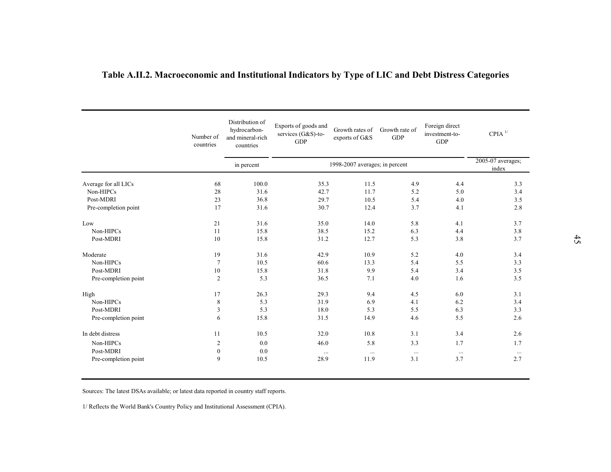| Table A.II.2. Macroeconomic and Institutional Indicators by Type of LIC and Debt Distress Categories |                        |                                                                  |                                                          |                                   |                              |                                                |                                   |  |  |
|------------------------------------------------------------------------------------------------------|------------------------|------------------------------------------------------------------|----------------------------------------------------------|-----------------------------------|------------------------------|------------------------------------------------|-----------------------------------|--|--|
|                                                                                                      | Number of<br>countries | Distribution of<br>hydrocarbon-<br>and mineral-rich<br>countries | Exports of goods and<br>services (G&S)-to-<br><b>GDP</b> | Growth rates of<br>exports of G&S | Growth rate of<br><b>GDP</b> | Foreign direct<br>investment-to-<br><b>GDP</b> | $CPIA$ <sup><math>1/</math></sup> |  |  |
|                                                                                                      |                        | in percent                                                       | 1998-2007 averages; in percent                           | 2005-07 averages;<br>index        |                              |                                                |                                   |  |  |
| Average for all LICs                                                                                 | 68                     | 100.0                                                            | 35.3                                                     | 11.5                              | 4.9                          | 4.4                                            | 3.3                               |  |  |
| Non-HIPCs                                                                                            | 28                     | 31.6                                                             | 42.7                                                     | 11.7                              | 5.2                          | 5.0                                            | 3.4                               |  |  |
| Post-MDRI                                                                                            | 23                     | 36.8                                                             | 29.7                                                     | 10.5                              | 5.4                          | 4.0                                            | 3.5                               |  |  |
| Pre-completion point                                                                                 | 17                     | 31.6                                                             | 30.7                                                     | 12.4                              | 3.7                          | 4.1                                            | 2.8                               |  |  |
| Low                                                                                                  | 21                     | 31.6                                                             | 35.0                                                     | 14.0                              | 5.8                          | 4.1                                            | 3.7                               |  |  |
| Non-HIPCs                                                                                            | 11                     | 15.8                                                             | 38.5                                                     | 15.2                              | 6.3                          | 4.4                                            | 3.8                               |  |  |
| Post-MDRI                                                                                            | 10                     | 15.8                                                             | 31.2                                                     | 12.7                              | 5.3                          | 3.8                                            | 3.7                               |  |  |
| Moderate                                                                                             | 19                     | 31.6                                                             | 42.9                                                     | 10.9                              | 5.2                          | 4.0                                            | 3.4                               |  |  |
| Non-HIPCs                                                                                            | $7\phantom{.0}$        | 10.5                                                             | 60.6                                                     | 13.3                              | 5.4                          | 5.5                                            | 3.3                               |  |  |
| Post-MDRI                                                                                            | $10\,$                 | 15.8                                                             | 31.8                                                     | 9.9                               | 5.4                          | 3.4                                            | 3.5                               |  |  |
| Pre-completion point                                                                                 | 2                      | 5.3                                                              | 36.5                                                     | 7.1                               | 4.0                          | 1.6                                            | 3.5                               |  |  |
| High                                                                                                 | 17                     | 26.3                                                             | 29.3                                                     | 9.4                               | 4.5                          | 6.0                                            | 3.1                               |  |  |
| Non-HIPCs                                                                                            | 8                      | 5.3                                                              | 31.9                                                     | 6.9                               | 4.1                          | 6.2                                            | 3.4                               |  |  |
| Post-MDRI                                                                                            | 3                      | 5.3                                                              | 18.0                                                     | 5.3                               | 5.5                          | 6.3                                            | 3.3                               |  |  |
| Pre-completion point                                                                                 | 6                      | 15.8                                                             | 31.5                                                     | 14.9                              | 4.6                          | 5.5                                            | 2.6                               |  |  |
| In debt distress                                                                                     | 11                     | 10.5                                                             | 32.0                                                     | 10.8                              | 3.1                          | 3.4                                            | 2.6                               |  |  |
| Non-HIPCs                                                                                            | $\overline{2}$         | 0.0                                                              | 46.0                                                     | 5.8                               | 3.3                          | 1.7                                            | 1.7                               |  |  |
| Post-MDRI                                                                                            | $\boldsymbol{0}$       | 0.0                                                              |                                                          |                                   |                              |                                                |                                   |  |  |
|                                                                                                      |                        |                                                                  | $\ldots$                                                 | $\ldots$                          | $\dots$                      | $\ldots$                                       | $\ldots$                          |  |  |
| Pre-completion point                                                                                 | 9                      | 10.5                                                             | 28.9                                                     | 11.9                              | 3.1                          | 3.7                                            | 2.7                               |  |  |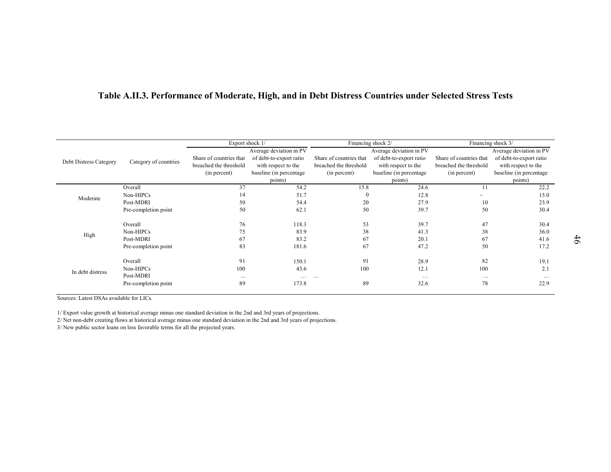| Category of countries | Share of countries that<br>breached the threshold<br>(in percent) | Average deviation in PV<br>of debt-to-export ratio<br>with respect to the<br>baseline (in percentage) | Share of countries that<br>breached the threshold<br>(in percent) | Average deviation in PV<br>of debt-to-export ratio<br>with respect to the<br>baseline (in percentage | Share of countries that<br>breached the threshold<br>(in percent) | Average deviation in PV<br>of debt-to-export ratio<br>with respect to the<br>baseline (in percentage<br>points)                           |
|-----------------------|-------------------------------------------------------------------|-------------------------------------------------------------------------------------------------------|-------------------------------------------------------------------|------------------------------------------------------------------------------------------------------|-------------------------------------------------------------------|-------------------------------------------------------------------------------------------------------------------------------------------|
| Overall               | 37                                                                | 54.2                                                                                                  |                                                                   | 24.6                                                                                                 | 11                                                                | 22.2                                                                                                                                      |
| Non-HIPCs             | 14                                                                | 51.7                                                                                                  | $\boldsymbol{0}$                                                  | 12.8                                                                                                 |                                                                   | 15.0                                                                                                                                      |
|                       | 50                                                                | 54.4                                                                                                  | 20                                                                | 27.9                                                                                                 | 10                                                                | 23.9                                                                                                                                      |
| Pre-completion point  | 50                                                                | 62.1                                                                                                  | 50                                                                | 39.7                                                                                                 | 50                                                                | 30.4                                                                                                                                      |
|                       |                                                                   |                                                                                                       |                                                                   |                                                                                                      |                                                                   | 30.4                                                                                                                                      |
|                       |                                                                   |                                                                                                       |                                                                   |                                                                                                      |                                                                   | 36.0                                                                                                                                      |
| Post-MDRI             | 67                                                                | 83.2                                                                                                  | 67                                                                |                                                                                                      | 67                                                                | 41.6                                                                                                                                      |
| Pre-completion point  | 83                                                                | 181.6                                                                                                 | 67                                                                | 47.2                                                                                                 | 50                                                                | 17.2                                                                                                                                      |
|                       | 91                                                                | 150.1                                                                                                 | 91                                                                | 28.9                                                                                                 | 82                                                                | 19.1                                                                                                                                      |
| Overall               |                                                                   | 43.6                                                                                                  | 100                                                               | 12.1                                                                                                 | 100                                                               | 2.1                                                                                                                                       |
| Non-HIPCs             | 100                                                               |                                                                                                       |                                                                   |                                                                                                      |                                                                   |                                                                                                                                           |
| Post-MDRI             | $\ldots$                                                          |                                                                                                       |                                                                   | $\ldots$                                                                                             | $\dots$                                                           | $\ldots$                                                                                                                                  |
|                       | Post-MDRI<br>Overall<br>Non-HIPCs                                 | 76<br>75                                                                                              | Export shock 1/<br>points)<br>118.3<br>83.9                       | 15.8<br>53<br>38                                                                                     | Financing shock 2/<br>points)<br>39.7<br>41.3<br>20.1             | Table A.II.3. Performance of Moderate, High, and in Debt Distress Countries under Selected Stress Tests<br>Financing shock 3/<br>47<br>38 |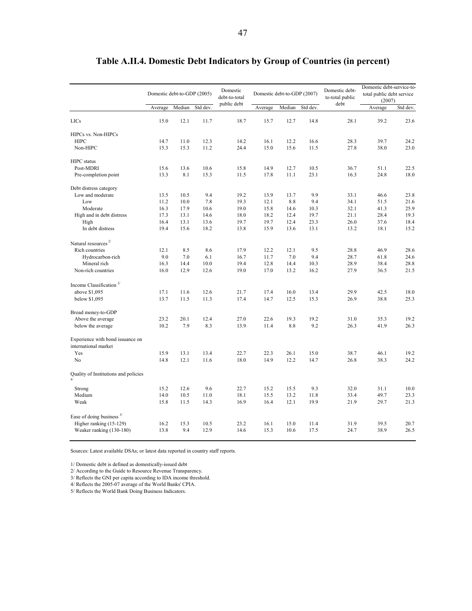|                                                          | Domestic debt-to-GDP (2005) |        |          | Domestic<br>debt-to-total<br>public debt | Domestic debt-to-GDP (2007) |        |          | Domestic debt-<br>to-total public<br>debt | Domestic debt-service-to-<br>total public debt service<br>(2007) |          |
|----------------------------------------------------------|-----------------------------|--------|----------|------------------------------------------|-----------------------------|--------|----------|-------------------------------------------|------------------------------------------------------------------|----------|
|                                                          | Average                     | Median | Std dev. |                                          | Average                     | Median | Std dev. |                                           | Average                                                          | Std dev. |
| <b>LICs</b>                                              | 15.0                        | 12.1   | 11.7     | 18.7                                     | 15.7                        | 12.7   | 14.8     | 28.1                                      | 39.2                                                             | 23.6     |
| HIPCs vs. Non-HIPCs                                      |                             |        |          |                                          |                             |        |          |                                           |                                                                  |          |
| <b>HIPC</b>                                              | 14.7                        | 11.0   | 12.3     | 14.2                                     | 16.1                        | 12.2   | 16.6     | 28.3                                      | 39.7                                                             | 24.2     |
| Non-HIPC                                                 | 15.3                        | 15.3   | 11.2     | 24.4                                     | 15.0                        | 15.6   | 11.5     | 27.8                                      | 38.0                                                             | 23.0     |
| <b>HIPC</b> status                                       |                             |        |          |                                          |                             |        |          |                                           |                                                                  |          |
| Post-MDRI                                                | 15.6                        | 13.6   | 10.6     | 15.8                                     | 14.9                        | 12.7   | 10.5     | 36.7                                      | 51.1                                                             | 22.5     |
| Pre-completion point                                     | 13.3                        | 8.1    | 15.3     | 11.5                                     | 17.8                        | 11.1   | 23.1     | 16.3                                      | 24.8                                                             | 18.0     |
| Debt distress category                                   |                             |        |          |                                          |                             |        |          |                                           |                                                                  |          |
| Low and moderate                                         | 13.5                        | 10.5   | 9.4      | 19.2                                     | 13.9                        | 13.7   | 9.9      | 33.1                                      | 46.6                                                             | 23.8     |
| Low                                                      | 11.2                        | 10.0   | 7.8      | 19.3                                     | 12.1                        | 8.8    | 9.4      | 34.1                                      | 51.5                                                             | 21.6     |
| Moderate                                                 | 16.3                        | 17.9   | 10.6     | 19.0                                     | 15.8                        | 14.6   | 10.3     | 32.1                                      | 41.3                                                             | 25.9     |
| High and in debt distress                                | 17.3                        | 13.1   | 14.6     | 18.0                                     | 18.2                        | 12.4   | 19.7     | 21.1                                      | 28.4                                                             | 19.3     |
| High                                                     | 16.4                        | 13.1   | 13.6     | 19.7                                     | 19.7                        | 12.4   | 23.3     | 26.0                                      | 37.6                                                             | 18.4     |
| In debt distress                                         | 19.4                        | 15.6   | 18.2     | 13.8                                     | 15.9                        | 13.6   | 13.1     | 13.2                                      | 18.1                                                             | 15.2     |
| Natural resources <sup>2/</sup>                          |                             |        |          |                                          |                             |        |          |                                           |                                                                  |          |
| Rich countries                                           | 12.1                        | 8.5    | 8.6      | 17.9                                     | 12.2                        | 12.1   | 9.5      | 28.8                                      | 46.9                                                             | 28.6     |
| Hydrocarbon-rich                                         | 9.0                         | 7.0    | 6.1      | 16.7                                     | 11.7                        | 7.0    | 9.4      | 28.7                                      | 61.8                                                             | 24.6     |
| Mineral rich                                             | 16.3                        | 14.4   | 10.0     | 19.4                                     | 12.8                        | 14.4   | 10.3     | 28.9                                      | 38.4                                                             | 28.8     |
| Non-rich countries                                       | 16.0                        | 12.9   | 12.6     | 19.0                                     | 17.0                        | 13.2   | 16.2     | 27.9                                      | 36.5                                                             | 21.5     |
| Income Classification <sup>3/</sup>                      |                             |        |          |                                          |                             |        |          |                                           |                                                                  |          |
| above \$1,095                                            | 17.1                        | 11.6   | 12.6     | 21.7                                     | 17.4                        | 16.0   | 13.4     | 29.9                                      | 42.5                                                             | 18.0     |
| below \$1,095                                            | 13.7                        | 11.5   | 11.3     | 17.4                                     | 14.7                        | 12.5   | 15.3     | 26.9                                      | 38.8                                                             | 25.3     |
| Broad money-to-GDP                                       |                             |        |          |                                          |                             |        |          |                                           |                                                                  |          |
| Above the average                                        | 23.2                        | 20.1   | 12.4     | 27.0                                     | 22.6                        | 19.3   | 19.2     | 31.0                                      | 35.3                                                             | 19.2     |
| below the average                                        | 10.2                        | 7.9    | 8.3      | 13.9                                     | 11.4                        | 8.8    | 9.2      | 26.3                                      | 41.9                                                             | 26.3     |
| Experience with bond issuance on<br>international market |                             |        |          |                                          |                             |        |          |                                           |                                                                  |          |
| Yes                                                      | 15.9                        | 13.1   | 13.4     | 22.7                                     | 22.3                        | 26.1   | 15.0     | 38.7                                      | 46.1                                                             | 19.2     |
| N <sub>0</sub>                                           | 14.8                        | 12.1   | 11.6     | 18.0                                     | 14.9                        | 12.2   | 14.7     | 26.8                                      | 38.3                                                             | 24.2     |
| Quality of Institutions and policies<br>4/               |                             |        |          |                                          |                             |        |          |                                           |                                                                  |          |
| Strong                                                   | 15.2                        | 12.6   | 9.6      | 22.7                                     | 15.2                        | 15.5   | 9.3      | 32.0                                      | 31.1                                                             | 10.0     |
| Medium                                                   | 14.0                        | 10.5   | 11.0     | 18.1                                     | 15.5                        | 13.2   | 11.8     | 33.4                                      | 49.7                                                             | 23.3     |
| Weak                                                     | 15.8                        | 11.5   | 14.3     | 16.9                                     | 16.4                        | 12.1   | 19.9     | 21.9                                      | 29.7                                                             | 21.3     |
| Ease of doing business $5/$                              |                             |        |          |                                          |                             |        |          |                                           |                                                                  |          |
| Higher ranking (15-129)                                  | 16.2                        | 15.3   | 10.5     | 23.2                                     | 16.1                        | 15.0   | 11.4     | 31.9                                      | 39.5                                                             | 20.7     |
| Weaker ranking (130-180)                                 | 13.8                        | 9.4    | 12.9     | 14.6                                     | 15.3                        | 10.6   | 17.5     | 24.7                                      | 38.9                                                             | 26.5     |
|                                                          |                             |        |          |                                          |                             |        |          |                                           |                                                                  |          |

# **Table A.II.4. Domestic Debt Indicators by Group of Countries (in percent)**

Sources: Latest available DSAs; or latest data reported in country staff reports.

1/ Domestic debt is defined as domestically-issued debt

2/ According to the Guide to Resource Revenue Transparency.

3/ Reflects the GNI per capita according to IDA income threshold.

4/ Reflects the 2005-07 average of the World Banks' CPIA.

5/ Reflects the World Bank Doing Business Indicators.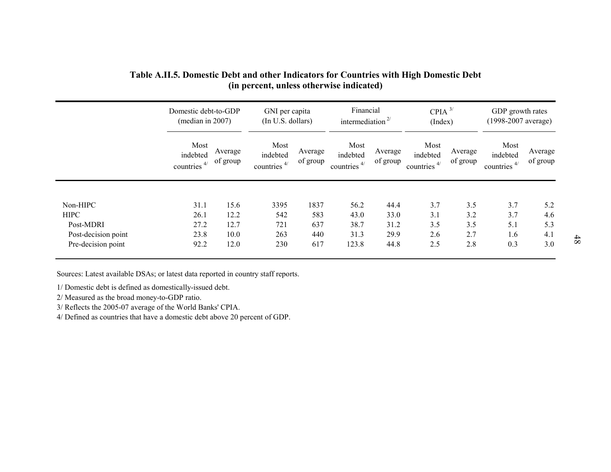|                                           | Domestic debt-to-GDP<br>(median in 2007) |                     | GNI per capita<br>(In U.S. dollars) |                     | Financial<br>intermediation $2/$   |                     | $CPIA$ <sup>3/</sup><br>(Index)    |                     | GDP growth rates<br>(1998-2007 average) |                     |
|-------------------------------------------|------------------------------------------|---------------------|-------------------------------------|---------------------|------------------------------------|---------------------|------------------------------------|---------------------|-----------------------------------------|---------------------|
|                                           | Most<br>indebted<br>4/<br>countries      | Average<br>of group | Most<br>indebted<br>countries $4/$  | Average<br>of group | Most<br>indebted<br>countries $4/$ | Average<br>of group | Most<br>indebted<br>countries $4/$ | Average<br>of group | Most<br>indebted<br>countries $4/$      | Average<br>of group |
| Non-HIPC                                  | 31.1                                     | 15.6                | 3395                                | 1837                | 56.2                               | 44.4                | 3.7                                | 3.5                 | 3.7                                     | 5.2                 |
| <b>HIPC</b>                               | 26.1                                     | 12.2                | 542                                 | 583                 | 43.0                               | 33.0                | 3.1                                | 3.2                 | 3.7                                     | 4.6                 |
| Post-MDRI                                 | 27.2                                     | 12.7                | 721                                 | 637                 | 38.7                               | 31.2                | 3.5                                | 3.5                 | 5.1                                     | 5.3                 |
| Post-decision point<br>Pre-decision point | 23.8<br>92.2                             | 10.0<br>12.0        | 263<br>230                          | 440<br>617          | 31.3<br>123.8                      | 29.9<br>44.8        | 2.6<br>2.5                         | 2.7<br>2.8          | 1.6<br>0.3                              | 4.1<br>3.0          |